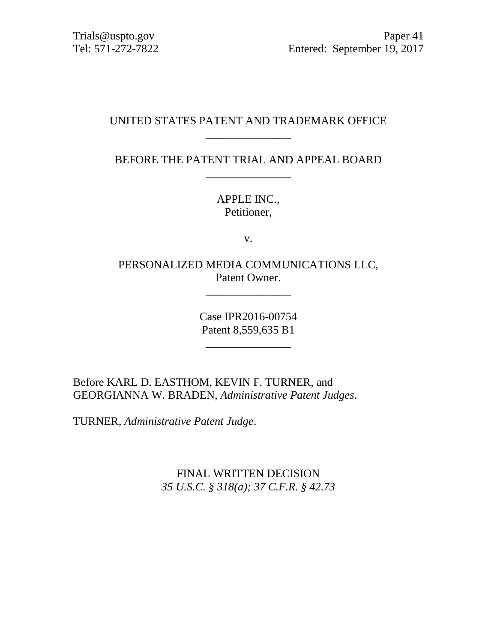# UNITED STATES PATENT AND TRADEMARK OFFICE \_\_\_\_\_\_\_\_\_\_\_\_\_\_\_

BEFORE THE PATENT TRIAL AND APPEAL BOARD \_\_\_\_\_\_\_\_\_\_\_\_\_\_\_

> APPLE INC., Petitioner,

> > v.

PERSONALIZED MEDIA COMMUNICATIONS LLC, Patent Owner.

\_\_\_\_\_\_\_\_\_\_\_\_\_\_\_

Case IPR2016-00754 Patent 8,559,635 B1

\_\_\_\_\_\_\_\_\_\_\_\_\_\_\_

Before KARL D. EASTHOM, KEVIN F. TURNER, and GEORGIANNA W. BRADEN, *Administrative Patent Judges*.

TURNER, *Administrative Patent Judge*.

FINAL WRITTEN DECISION *35 U.S.C. § 318(a); 37 C.F.R. § 42.73*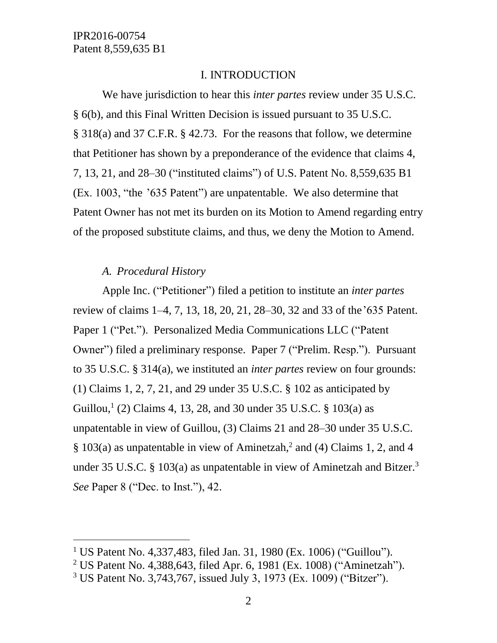### I. INTRODUCTION

We have jurisdiction to hear this *inter partes* review under 35 U.S.C. § 6(b), and this Final Written Decision is issued pursuant to 35 U.S.C. § 318(a) and 37 C.F.R. § 42.73. For the reasons that follow, we determine that Petitioner has shown by a preponderance of the evidence that claims 4, 7, 13, 21, and 28–30 ("instituted claims") of U.S. Patent No. 8,559,635 B1 (Ex. 1003, "the '635 Patent") are unpatentable. We also determine that Patent Owner has not met its burden on its Motion to Amend regarding entry of the proposed substitute claims, and thus, we deny the Motion to Amend.

### *A. Procedural History*

 $\overline{a}$ 

Apple Inc. ("Petitioner") filed a petition to institute an *inter partes* review of claims 1–4, 7, 13, 18, 20, 21, 28–30, 32 and 33 of the'635 Patent. Paper 1 ("Pet."). Personalized Media Communications LLC ("Patent Owner") filed a preliminary response. Paper 7 ("Prelim. Resp."). Pursuant to 35 U.S.C. § 314(a), we instituted an *inter partes* review on four grounds: (1) Claims 1, 2, 7, 21, and 29 under 35 U.S.C. § 102 as anticipated by Guillou,<sup>1</sup> (2) Claims 4, 13, 28, and 30 under 35 U.S.C. § 103(a) as unpatentable in view of Guillou, (3) Claims 21 and 28–30 under 35 U.S.C. § 103(a) as unpatentable in view of Aminetzah,<sup>2</sup> and (4) Claims 1, 2, and 4 under 35 U.S.C. § 103(a) as unpatentable in view of Aminetzah and Bitzer.<sup>3</sup> *See* Paper 8 ("Dec. to Inst."), 42.

<sup>&</sup>lt;sup>1</sup> US Patent No. 4,337,483, filed Jan. 31, 1980 (Ex. 1006) ("Guillou").

<sup>2</sup> US Patent No. 4,388,643, filed Apr. 6, 1981 (Ex. 1008) ("Aminetzah").

<sup>3</sup> US Patent No. 3,743,767, issued July 3, 1973 (Ex. 1009) ("Bitzer").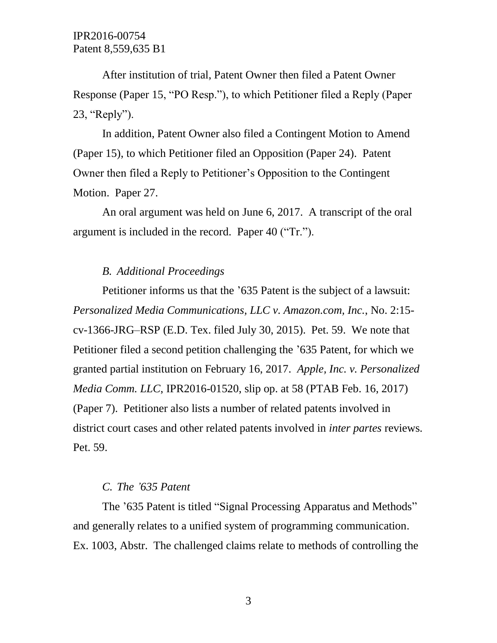After institution of trial, Patent Owner then filed a Patent Owner Response (Paper 15, "PO Resp."), to which Petitioner filed a Reply (Paper 23, "Reply").

In addition, Patent Owner also filed a Contingent Motion to Amend (Paper 15), to which Petitioner filed an Opposition (Paper 24). Patent Owner then filed a Reply to Petitioner's Opposition to the Contingent Motion. Paper 27.

An oral argument was held on June 6, 2017. A transcript of the oral argument is included in the record. Paper 40 ("Tr.").

### *B. Additional Proceedings*

Petitioner informs us that the '635 Patent is the subject of a lawsuit: *Personalized Media Communications, LLC v. Amazon.com, Inc.*, No. 2:15 cv-1366-JRG–RSP (E.D. Tex. filed July 30, 2015). Pet. 59. We note that Petitioner filed a second petition challenging the '635 Patent, for which we granted partial institution on February 16, 2017. *Apple, Inc. v. Personalized Media Comm. LLC*, IPR2016-01520, slip op. at 58 (PTAB Feb. 16, 2017) (Paper 7). Petitioner also lists a number of related patents involved in district court cases and other related patents involved in *inter partes* reviews. Pet. 59.

### *C. The '635 Patent*

The '635 Patent is titled "Signal Processing Apparatus and Methods" and generally relates to a unified system of programming communication. Ex. 1003, Abstr. The challenged claims relate to methods of controlling the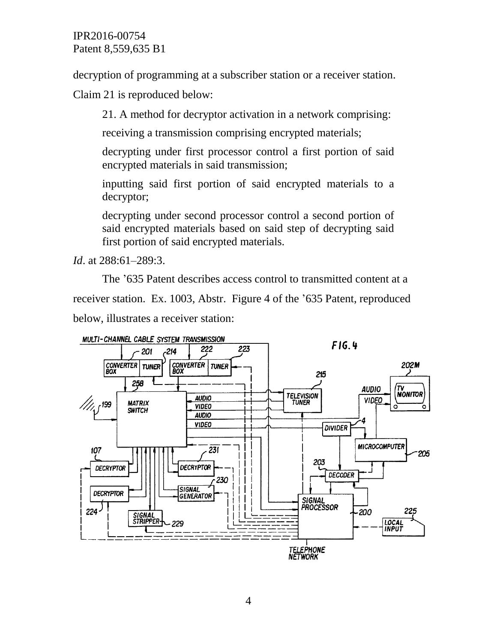decryption of programming at a subscriber station or a receiver station.

Claim 21 is reproduced below:

21. A method for decryptor activation in a network comprising:

receiving a transmission comprising encrypted materials;

decrypting under first processor control a first portion of said encrypted materials in said transmission;

inputting said first portion of said encrypted materials to a decryptor;

decrypting under second processor control a second portion of said encrypted materials based on said step of decrypting said first portion of said encrypted materials.

*Id*. at 288:61–289:3.

The '635 Patent describes access control to transmitted content at a receiver station. Ex. 1003, Abstr. Figure 4 of the '635 Patent, reproduced below, illustrates a receiver station:

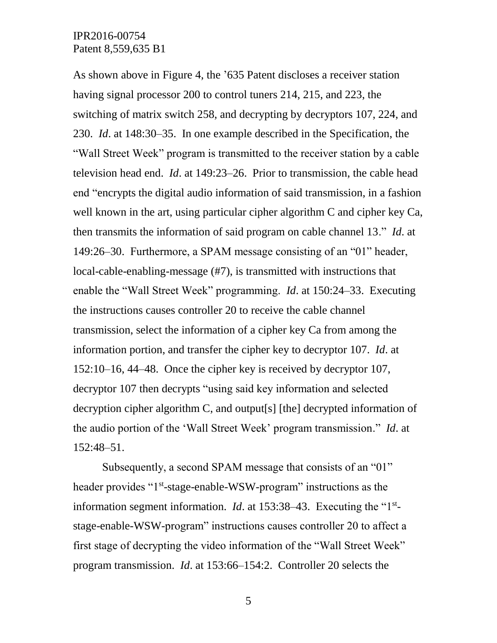As shown above in Figure 4, the '635 Patent discloses a receiver station having signal processor 200 to control tuners 214, 215, and 223, the switching of matrix switch 258, and decrypting by decryptors 107, 224, and 230. *Id*. at 148:30–35. In one example described in the Specification, the "Wall Street Week" program is transmitted to the receiver station by a cable television head end. *Id*. at 149:23–26. Prior to transmission, the cable head end "encrypts the digital audio information of said transmission, in a fashion well known in the art, using particular cipher algorithm C and cipher key Ca, then transmits the information of said program on cable channel 13." *Id*. at 149:26–30. Furthermore, a SPAM message consisting of an "01" header, local-cable-enabling-message (#7), is transmitted with instructions that enable the "Wall Street Week" programming. *Id*. at 150:24–33. Executing the instructions causes controller 20 to receive the cable channel transmission, select the information of a cipher key Ca from among the information portion, and transfer the cipher key to decryptor 107. *Id*. at 152:10–16, 44–48. Once the cipher key is received by decryptor 107, decryptor 107 then decrypts "using said key information and selected decryption cipher algorithm C, and output[s] [the] decrypted information of the audio portion of the 'Wall Street Week' program transmission." *Id*. at 152:48–51.

Subsequently, a second SPAM message that consists of an "01" header provides "1<sup>st</sup>-stage-enable-WSW-program" instructions as the information segment information. *Id*. at  $153:38-43$ . Executing the " $1<sup>st</sup>$ stage-enable-WSW-program" instructions causes controller 20 to affect a first stage of decrypting the video information of the "Wall Street Week" program transmission. *Id*. at 153:66–154:2. Controller 20 selects the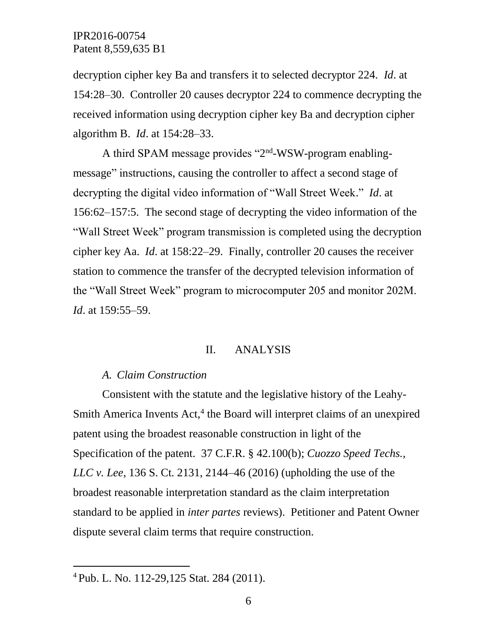decryption cipher key Ba and transfers it to selected decryptor 224. *Id*. at 154:28–30. Controller 20 causes decryptor 224 to commence decrypting the received information using decryption cipher key Ba and decryption cipher algorithm B. *Id*. at 154:28–33.

A third SPAM message provides "2<sup>nd</sup>-WSW-program enablingmessage" instructions, causing the controller to affect a second stage of decrypting the digital video information of "Wall Street Week." *Id*. at 156:62–157:5. The second stage of decrypting the video information of the "Wall Street Week" program transmission is completed using the decryption cipher key Aa. *Id*. at 158:22–29. Finally, controller 20 causes the receiver station to commence the transfer of the decrypted television information of the "Wall Street Week" program to microcomputer 205 and monitor 202M. *Id*. at 159:55–59.

#### II. ANALYSIS

### *A. Claim Construction*

Consistent with the statute and the legislative history of the Leahy-Smith America Invents Act,<sup>4</sup> the Board will interpret claims of an unexpired patent using the broadest reasonable construction in light of the Specification of the patent. 37 C.F.R. § 42.100(b); *Cuozzo Speed Techs., LLC v. Lee*, 136 S. Ct. 2131, 2144–46 (2016) (upholding the use of the broadest reasonable interpretation standard as the claim interpretation standard to be applied in *inter partes* reviews). Petitioner and Patent Owner dispute several claim terms that require construction.

 $\overline{a}$ 

<sup>4</sup> Pub. L. No. 112-29,125 Stat. 284 (2011).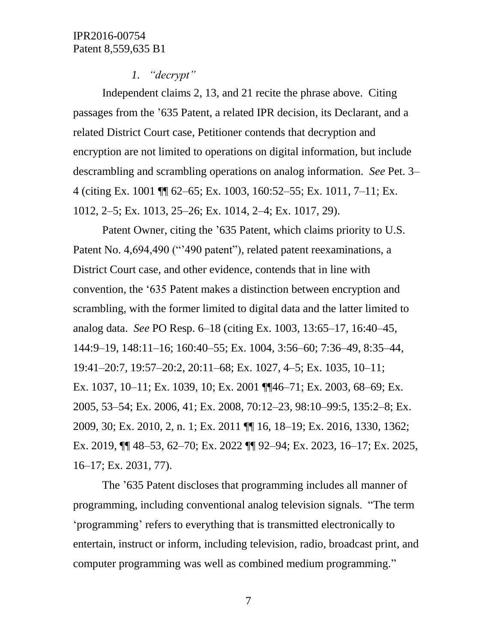## *1. "decrypt"*

Independent claims 2, 13, and 21 recite the phrase above. Citing passages from the '635 Patent, a related IPR decision, its Declarant, and a related District Court case, Petitioner contends that decryption and encryption are not limited to operations on digital information, but include descrambling and scrambling operations on analog information. *See* Pet. 3– 4 (citing Ex. 1001 ¶¶ 62–65; Ex. 1003, 160:52–55; Ex. 1011, 7–11; Ex. 1012, 2–5; Ex. 1013, 25–26; Ex. 1014, 2–4; Ex. 1017, 29).

Patent Owner, citing the '635 Patent, which claims priority to U.S. Patent No. 4,694,490 ("'490 patent"), related patent reexaminations, a District Court case, and other evidence, contends that in line with convention, the '635 Patent makes a distinction between encryption and scrambling, with the former limited to digital data and the latter limited to analog data. *See* PO Resp. 6–18 (citing Ex. 1003, 13:65–17, 16:40–45, 144:9–19, 148:11–16; 160:40–55; Ex. 1004, 3:56–60; 7:36–49, 8:35–44, 19:41–20:7, 19:57–20:2, 20:11–68; Ex. 1027, 4–5; Ex. 1035, 10–11; Ex. 1037, 10–11; Ex. 1039, 10; Ex. 2001 ¶¶46–71; Ex. 2003, 68–69; Ex. 2005, 53–54; Ex. 2006, 41; Ex. 2008, 70:12–23, 98:10–99:5, 135:2–8; Ex. 2009, 30; Ex. 2010, 2, n. 1; Ex. 2011 ¶¶ 16, 18–19; Ex. 2016, 1330, 1362; Ex. 2019, ¶¶ 48–53, 62–70; Ex. 2022 ¶¶ 92–94; Ex. 2023, 16–17; Ex. 2025, 16–17; Ex. 2031, 77).

The '635 Patent discloses that programming includes all manner of programming, including conventional analog television signals. "The term 'programming' refers to everything that is transmitted electronically to entertain, instruct or inform, including television, radio, broadcast print, and computer programming was well as combined medium programming."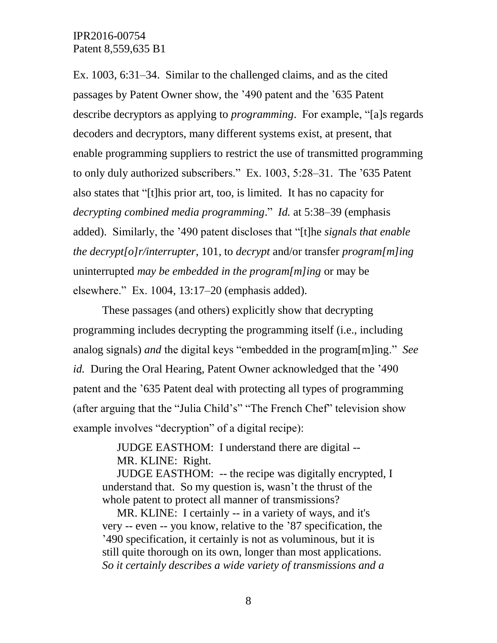Ex. 1003, 6:31–34. Similar to the challenged claims, and as the cited passages by Patent Owner show, the '490 patent and the '635 Patent describe decryptors as applying to *programming*. For example, "[a]s regards decoders and decryptors, many different systems exist, at present, that enable programming suppliers to restrict the use of transmitted programming to only duly authorized subscribers." Ex. 1003, 5:28–31. The '635 Patent also states that "[t]his prior art, too, is limited. It has no capacity for *decrypting combined media programming*." *Id.* at 5:38–39 (emphasis added). Similarly, the '490 patent discloses that "[t]he *signals that enable the decrypt[o]r/interrupter*, 101, to *decrypt* and/or transfer *program[m]ing* uninterrupted *may be embedded in the program[m]ing* or may be elsewhere." Ex. 1004, 13:17–20 (emphasis added).

These passages (and others) explicitly show that decrypting programming includes decrypting the programming itself (i.e., including analog signals) *and* the digital keys "embedded in the program[m]ing." *See id.* During the Oral Hearing, Patent Owner acknowledged that the '490 patent and the '635 Patent deal with protecting all types of programming (after arguing that the "Julia Child's" "The French Chef" television show example involves "decryption" of a digital recipe):

> JUDGE EASTHOM: I understand there are digital -- MR. KLINE: Right.

JUDGE EASTHOM: -- the recipe was digitally encrypted, I understand that. So my question is, wasn't the thrust of the whole patent to protect all manner of transmissions?

MR. KLINE: I certainly -- in a variety of ways, and it's very -- even -- you know, relative to the '87 specification, the '490 specification, it certainly is not as voluminous, but it is still quite thorough on its own, longer than most applications. *So it certainly describes a wide variety of transmissions and a*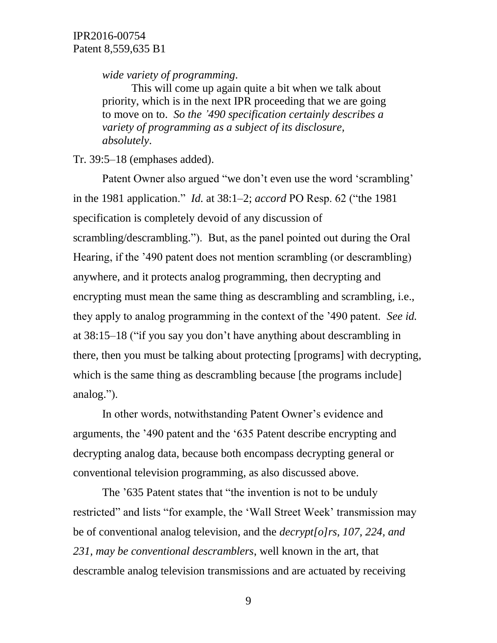*wide variety of programming*.

This will come up again quite a bit when we talk about priority, which is in the next IPR proceeding that we are going to move on to. *So the '490 specification certainly describes a variety of programming as a subject of its disclosure, absolutely*.

Tr. 39:5–18 (emphases added).

Patent Owner also argued "we don't even use the word 'scrambling' in the 1981 application." *Id.* at 38:1–2; *accord* PO Resp. 62 ("the 1981 specification is completely devoid of any discussion of scrambling/descrambling."). But, as the panel pointed out during the Oral Hearing, if the '490 patent does not mention scrambling (or descrambling) anywhere, and it protects analog programming, then decrypting and encrypting must mean the same thing as descrambling and scrambling, i.e., they apply to analog programming in the context of the '490 patent. *See id.* at 38:15–18 ("if you say you don't have anything about descrambling in there, then you must be talking about protecting [programs] with decrypting, which is the same thing as descrambling because [the programs include] analog.").

In other words, notwithstanding Patent Owner's evidence and arguments, the '490 patent and the '635 Patent describe encrypting and decrypting analog data, because both encompass decrypting general or conventional television programming, as also discussed above.

The '635 Patent states that "the invention is not to be unduly restricted" and lists "for example, the 'Wall Street Week' transmission may be of conventional analog television, and the *decrypt[o]rs, 107, 224, and 231, may be conventional descramblers*, well known in the art, that descramble analog television transmissions and are actuated by receiving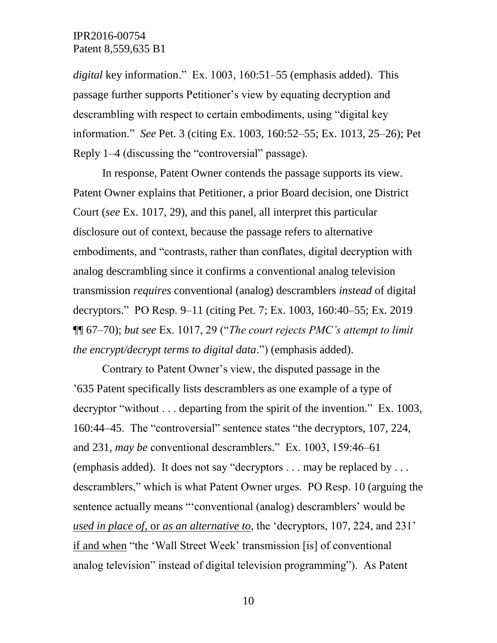*digital* key information." Ex. 1003, 160:51–55 (emphasis added). This passage further supports Petitioner's view by equating decryption and descrambling with respect to certain embodiments, using "digital key information." *See* Pet. 3 (citing Ex. 1003, 160:52–55; Ex. 1013, 25–26); Pet Reply 1–4 (discussing the "controversial" passage).

In response, Patent Owner contends the passage supports its view. Patent Owner explains that Petitioner, a prior Board decision, one District Court (*see* Ex. 1017, 29), and this panel, all interpret this particular disclosure out of context, because the passage refers to alternative embodiments, and "contrasts, rather than conflates, digital decryption with analog descrambling since it confirms a conventional analog television transmission *requires* conventional (analog) descramblers *instead* of digital decryptors." PO Resp. 9–11 (citing Pet. 7; Ex. 1003, 160:40–55; Ex. 2019 ¶¶ 67–70); *but see* Ex. 1017, 29 ("*The court rejects PMC's attempt to limit the encrypt/decrypt terms to digital data*.") (emphasis added).

Contrary to Patent Owner's view, the disputed passage in the '635 Patent specifically lists descramblers as one example of a type of decryptor "without . . . departing from the spirit of the invention." Ex. 1003, 160:44–45. The "controversial" sentence states "the decryptors, 107, 224, and 231, *may be* conventional descramblers." Ex. 1003, 159:46–61 (emphasis added). It does not say "decryptors . . . may be replaced by . . . descramblers," which is what Patent Owner urges. PO Resp. 10 (arguing the sentence actually means "'conventional (analog) descramblers' would be *used in place of*, or *as an alternative to*, the 'decryptors, 107, 224, and 231' if and when "the 'Wall Street Week' transmission [is] of conventional analog television" instead of digital television programming"). As Patent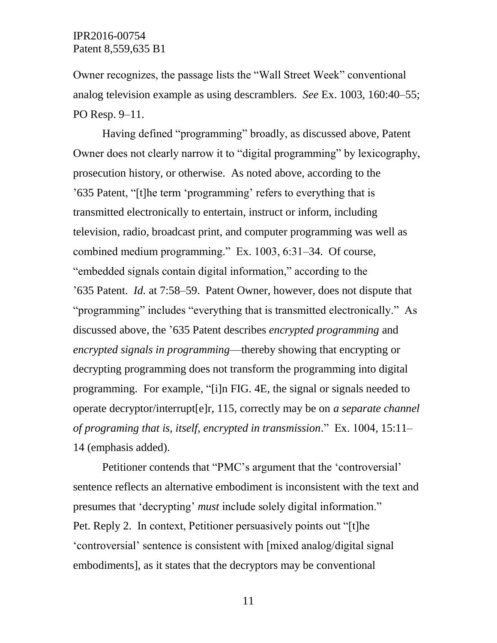Owner recognizes, the passage lists the "Wall Street Week" conventional analog television example as using descramblers. *See* Ex. 1003, 160:40–55; PO Resp. 9–11.

Having defined "programming" broadly, as discussed above, Patent Owner does not clearly narrow it to "digital programming" by lexicography, prosecution history, or otherwise. As noted above, according to the '635 Patent, "[t]he term 'programming' refers to everything that is transmitted electronically to entertain, instruct or inform, including television, radio, broadcast print, and computer programming was well as combined medium programming." Ex. 1003, 6:31–34. Of course, "embedded signals contain digital information," according to the '635 Patent. *Id.* at 7:58–59. Patent Owner, however, does not dispute that "programming" includes "everything that is transmitted electronically." As discussed above, the '635 Patent describes *encrypted programming* and *encrypted signals in programming*––thereby showing that encrypting or decrypting programming does not transform the programming into digital programming. For example, "[i]n FIG. 4E, the signal or signals needed to operate decryptor/interrupt[e]r, 115, correctly may be on *a separate channel of programing that is, itself, encrypted in transmission*." Ex. 1004, 15:11– 14 (emphasis added).

Petitioner contends that "PMC's argument that the 'controversial' sentence reflects an alternative embodiment is inconsistent with the text and presumes that 'decrypting' *must* include solely digital information." Pet. Reply 2. In context, Petitioner persuasively points out "[t]he 'controversial' sentence is consistent with [mixed analog/digital signal embodiments], as it states that the decryptors may be conventional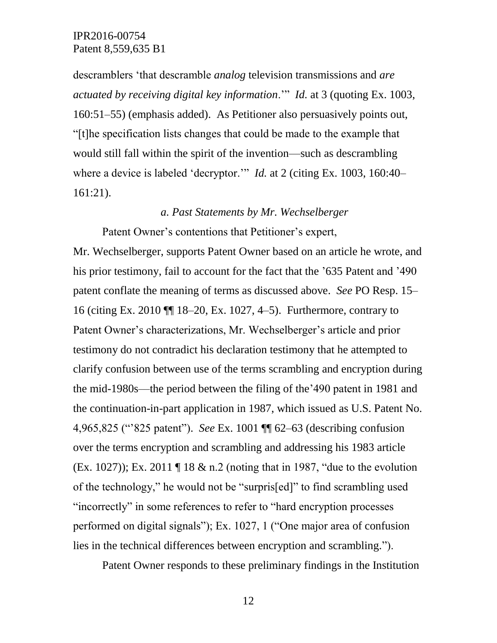descramblers 'that descramble *analog* television transmissions and *are actuated by receiving digital key information*.'" *Id.* at 3 (quoting Ex. 1003, 160:51–55) (emphasis added). As Petitioner also persuasively points out, "[t]he specification lists changes that could be made to the example that would still fall within the spirit of the invention—such as descrambling where a device is labeled 'decryptor.'" *Id.* at 2 (citing Ex. 1003, 160:40– 161:21).

#### *a. Past Statements by Mr. Wechselberger*

Patent Owner's contentions that Petitioner's expert,

Mr. Wechselberger, supports Patent Owner based on an article he wrote, and his prior testimony, fail to account for the fact that the '635 Patent and '490 patent conflate the meaning of terms as discussed above. *See* PO Resp. 15– 16 (citing Ex. 2010 ¶¶ 18–20, Ex. 1027, 4–5). Furthermore, contrary to Patent Owner's characterizations, Mr. Wechselberger's article and prior testimony do not contradict his declaration testimony that he attempted to clarify confusion between use of the terms scrambling and encryption during the mid-1980s––the period between the filing of the'490 patent in 1981 and the continuation-in-part application in 1987, which issued as U.S. Patent No. 4,965,825 ("'825 patent"). *See* Ex. 1001 ¶¶ 62–63 (describing confusion over the terms encryption and scrambling and addressing his 1983 article (Ex. 1027)); Ex. 2011 ¶ 18 & n.2 (noting that in 1987, "due to the evolution of the technology," he would not be "surpris[ed]" to find scrambling used "incorrectly" in some references to refer to "hard encryption processes performed on digital signals"); Ex. 1027, 1 ("One major area of confusion lies in the technical differences between encryption and scrambling.").

Patent Owner responds to these preliminary findings in the Institution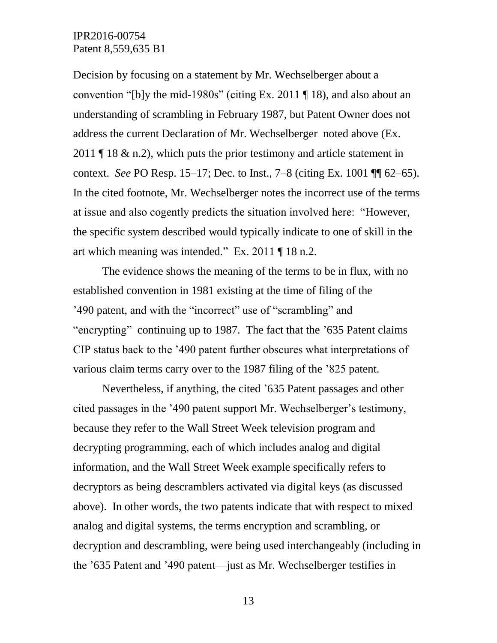Decision by focusing on a statement by Mr. Wechselberger about a convention "[b]y the mid-1980s" (citing Ex. 2011  $\P$  18), and also about an understanding of scrambling in February 1987, but Patent Owner does not address the current Declaration of Mr. Wechselberger noted above (Ex. 2011  $\P$  18 & n.2), which puts the prior testimony and article statement in context. *See* PO Resp. 15–17; Dec. to Inst., 7–8 (citing Ex. 1001 ¶¶ 62–65). In the cited footnote, Mr. Wechselberger notes the incorrect use of the terms at issue and also cogently predicts the situation involved here: "However, the specific system described would typically indicate to one of skill in the art which meaning was intended." Ex. 2011 ¶ 18 n.2.

The evidence shows the meaning of the terms to be in flux, with no established convention in 1981 existing at the time of filing of the '490 patent, and with the "incorrect" use of "scrambling" and "encrypting" continuing up to 1987. The fact that the '635 Patent claims CIP status back to the '490 patent further obscures what interpretations of various claim terms carry over to the 1987 filing of the '825 patent.

Nevertheless, if anything, the cited '635 Patent passages and other cited passages in the '490 patent support Mr. Wechselberger's testimony, because they refer to the Wall Street Week television program and decrypting programming, each of which includes analog and digital information, and the Wall Street Week example specifically refers to decryptors as being descramblers activated via digital keys (as discussed above). In other words, the two patents indicate that with respect to mixed analog and digital systems, the terms encryption and scrambling, or decryption and descrambling, were being used interchangeably (including in the '635 Patent and '490 patent––just as Mr. Wechselberger testifies in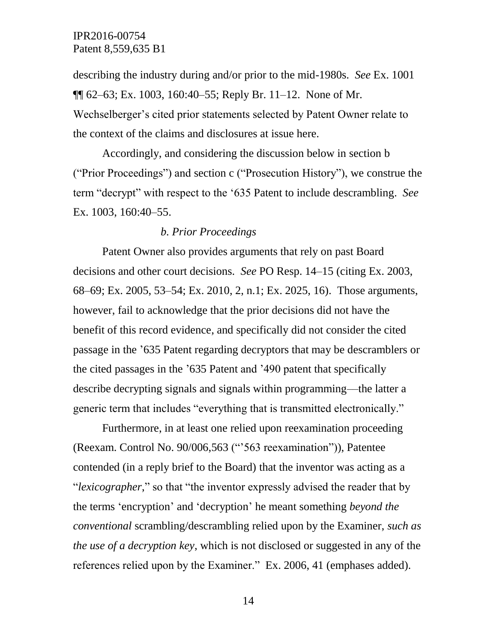describing the industry during and/or prior to the mid-1980s. *See* Ex. 1001 ¶¶ 62–63; Ex. 1003, 160:40–55; Reply Br. 11–12. None of Mr. Wechselberger's cited prior statements selected by Patent Owner relate to the context of the claims and disclosures at issue here.

Accordingly, and considering the discussion below in section b ("Prior Proceedings") and section c ("Prosecution History"), we construe the term "decrypt" with respect to the '635 Patent to include descrambling. *See* Ex. 1003, 160:40–55.

### *b. Prior Proceedings*

Patent Owner also provides arguments that rely on past Board decisions and other court decisions. *See* PO Resp. 14–15 (citing Ex. 2003, 68–69; Ex. 2005, 53–54; Ex. 2010, 2, n.1; Ex. 2025, 16). Those arguments, however, fail to acknowledge that the prior decisions did not have the benefit of this record evidence, and specifically did not consider the cited passage in the '635 Patent regarding decryptors that may be descramblers or the cited passages in the '635 Patent and '490 patent that specifically describe decrypting signals and signals within programming––the latter a generic term that includes "everything that is transmitted electronically."

Furthermore, in at least one relied upon reexamination proceeding (Reexam. Control No. 90/006,563 ("'563 reexamination")), Patentee contended (in a reply brief to the Board) that the inventor was acting as a "*lexicographer*," so that "the inventor expressly advised the reader that by the terms 'encryption' and 'decryption' he meant something *beyond the conventional* scrambling/descrambling relied upon by the Examiner, *such as the use of a decryption key*, which is not disclosed or suggested in any of the references relied upon by the Examiner." Ex. 2006, 41 (emphases added).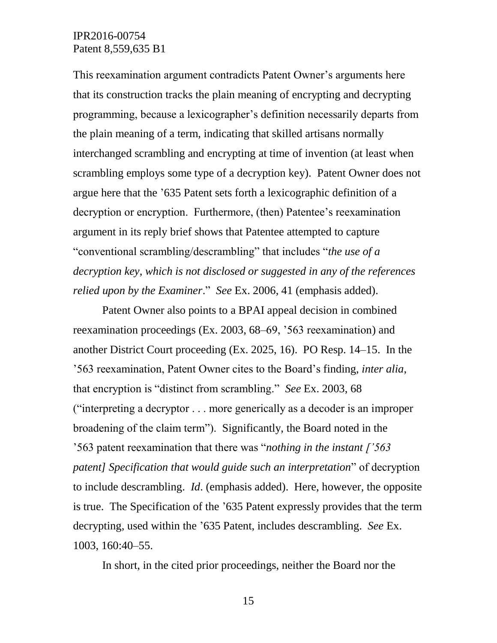This reexamination argument contradicts Patent Owner's arguments here that its construction tracks the plain meaning of encrypting and decrypting programming, because a lexicographer's definition necessarily departs from the plain meaning of a term, indicating that skilled artisans normally interchanged scrambling and encrypting at time of invention (at least when scrambling employs some type of a decryption key). Patent Owner does not argue here that the '635 Patent sets forth a lexicographic definition of a decryption or encryption. Furthermore, (then) Patentee's reexamination argument in its reply brief shows that Patentee attempted to capture "conventional scrambling/descrambling" that includes "*the use of a decryption key*, *which is not disclosed or suggested in any of the references relied upon by the Examiner*." *See* Ex. 2006, 41 (emphasis added).

Patent Owner also points to a BPAI appeal decision in combined reexamination proceedings (Ex. 2003, 68–69, '563 reexamination) and another District Court proceeding (Ex. 2025, 16). PO Resp. 14–15. In the '563 reexamination, Patent Owner cites to the Board's finding, *inter alia*, that encryption is "distinct from scrambling." *See* Ex. 2003, 68 ("interpreting a decryptor . . . more generically as a decoder is an improper broadening of the claim term"). Significantly, the Board noted in the '563 patent reexamination that there was "*nothing in the instant ['563 patent] Specification that would guide such an interpretation*" of decryption to include descrambling. *Id*. (emphasis added). Here, however, the opposite is true. The Specification of the '635 Patent expressly provides that the term decrypting, used within the '635 Patent, includes descrambling. *See* Ex. 1003, 160:40–55.

In short, in the cited prior proceedings, neither the Board nor the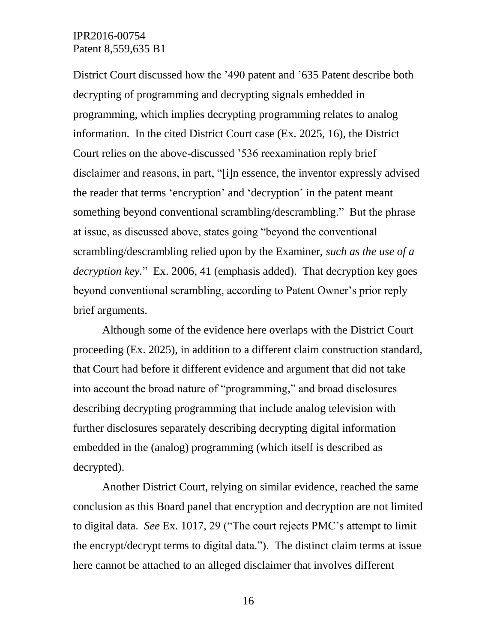District Court discussed how the '490 patent and '635 Patent describe both decrypting of programming and decrypting signals embedded in programming, which implies decrypting programming relates to analog information. In the cited District Court case (Ex. 2025, 16), the District Court relies on the above-discussed '536 reexamination reply brief disclaimer and reasons, in part, "[i]n essence, the inventor expressly advised the reader that terms 'encryption' and 'decryption' in the patent meant something beyond conventional scrambling/descrambling." But the phrase at issue, as discussed above, states going "beyond the conventional scrambling/descrambling relied upon by the Examiner, *such as the use of a decryption key.*" Ex. 2006, 41 (emphasis added). That decryption key goes beyond conventional scrambling, according to Patent Owner's prior reply brief arguments.

Although some of the evidence here overlaps with the District Court proceeding (Ex. 2025), in addition to a different claim construction standard, that Court had before it different evidence and argument that did not take into account the broad nature of "programming," and broad disclosures describing decrypting programming that include analog television with further disclosures separately describing decrypting digital information embedded in the (analog) programming (which itself is described as decrypted).

Another District Court, relying on similar evidence, reached the same conclusion as this Board panel that encryption and decryption are not limited to digital data. *See* Ex. 1017, 29 ("The court rejects PMC's attempt to limit the encrypt/decrypt terms to digital data."). The distinct claim terms at issue here cannot be attached to an alleged disclaimer that involves different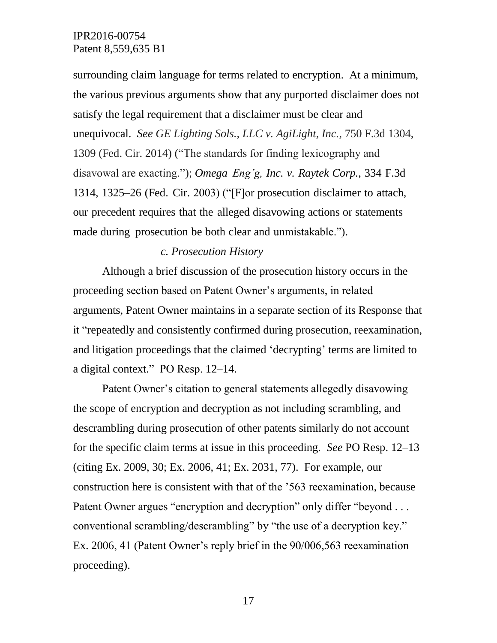surrounding claim language for terms related to encryption. At a minimum, the various previous arguments show that any purported disclaimer does not satisfy the legal requirement that a disclaimer must be clear and unequivocal. *See GE Lighting Sols., LLC v. AgiLight, Inc.*, 750 F.3d 1304, 1309 (Fed. Cir. 2014) ("The standards for finding lexicography and disavowal are exacting."); *Omega Eng'g, Inc. v. Raytek Corp.*, 334 F.3d 1314, 1325–26 (Fed. Cir. 2003) ("[F]or prosecution disclaimer to attach, our precedent requires that the alleged disavowing actions or statements made during prosecution be both clear and unmistakable.").

#### *c. Prosecution History*

Although a brief discussion of the prosecution history occurs in the proceeding section based on Patent Owner's arguments, in related arguments, Patent Owner maintains in a separate section of its Response that it "repeatedly and consistently confirmed during prosecution, reexamination, and litigation proceedings that the claimed 'decrypting' terms are limited to a digital context." PO Resp. 12–14.

Patent Owner's citation to general statements allegedly disavowing the scope of encryption and decryption as not including scrambling, and descrambling during prosecution of other patents similarly do not account for the specific claim terms at issue in this proceeding. *See* PO Resp. 12–13 (citing Ex. 2009, 30; Ex. 2006, 41; Ex. 2031, 77). For example, our construction here is consistent with that of the '563 reexamination, because Patent Owner argues "encryption and decryption" only differ "beyond . . . conventional scrambling/descrambling" by "the use of a decryption key." Ex. 2006, 41 (Patent Owner's reply brief in the 90/006,563 reexamination proceeding).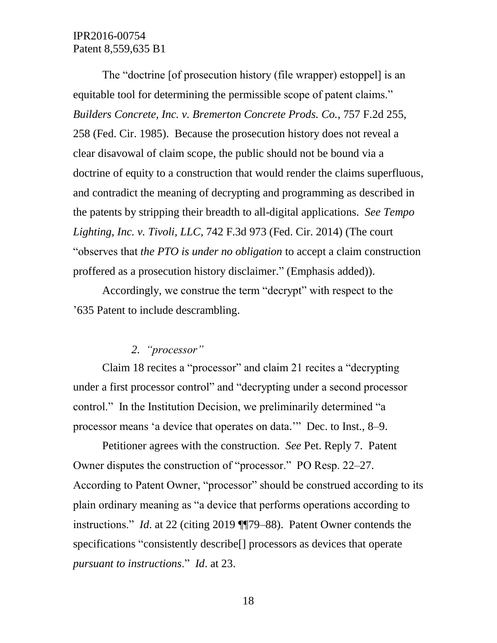The "doctrine [of prosecution history (file wrapper) estoppel] is an equitable tool for determining the permissible scope of patent claims." *Builders Concrete, Inc. v. Bremerton Concrete Prods. Co.*, 757 F.2d 255, 258 (Fed. Cir. 1985). Because the prosecution history does not reveal a clear disavowal of claim scope, the public should not be bound via a doctrine of equity to a construction that would render the claims superfluous, and contradict the meaning of decrypting and programming as described in the patents by stripping their breadth to all-digital applications. *See Tempo Lighting, Inc. v. Tivoli, LLC*, 742 F.3d 973 (Fed. Cir. 2014) (The court "observes that *the PTO is under no obligation* to accept a claim construction proffered as a prosecution history disclaimer." (Emphasis added)).

Accordingly, we construe the term "decrypt" with respect to the '635 Patent to include descrambling.

# *2. "processor"*

Claim 18 recites a "processor" and claim 21 recites a "decrypting under a first processor control" and "decrypting under a second processor control." In the Institution Decision, we preliminarily determined "a processor means 'a device that operates on data.'" Dec. to Inst., 8–9.

Petitioner agrees with the construction. *See* Pet. Reply 7. Patent Owner disputes the construction of "processor." PO Resp. 22–27. According to Patent Owner, "processor" should be construed according to its plain ordinary meaning as "a device that performs operations according to instructions." *Id*. at 22 (citing 2019 ¶¶79–88). Patent Owner contends the specifications "consistently describe[] processors as devices that operate *pursuant to instructions*." *Id*. at 23.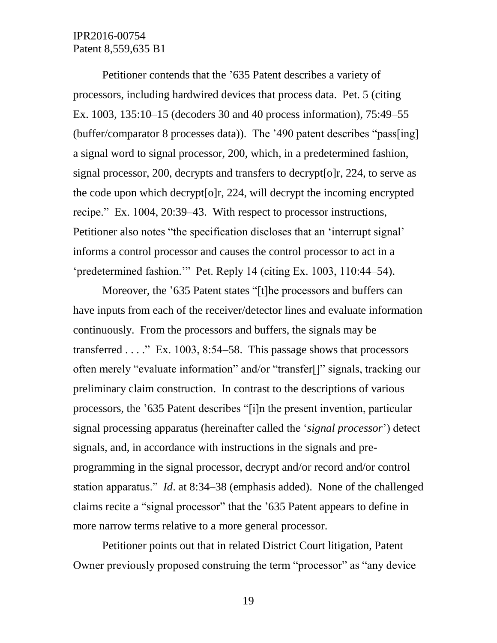Petitioner contends that the '635 Patent describes a variety of processors, including hardwired devices that process data. Pet. 5 (citing Ex. 1003, 135:10–15 (decoders 30 and 40 process information), 75:49–55 (buffer/comparator 8 processes data)). The '490 patent describes "pass[ing] a signal word to signal processor, 200, which, in a predetermined fashion, signal processor, 200, decrypts and transfers to decrypt[o]r, 224, to serve as the code upon which decrypt[o]r, 224, will decrypt the incoming encrypted recipe." Ex. 1004, 20:39–43. With respect to processor instructions, Petitioner also notes "the specification discloses that an 'interrupt signal' informs a control processor and causes the control processor to act in a 'predetermined fashion.'" Pet. Reply 14 (citing Ex. 1003, 110:44–54).

Moreover, the '635 Patent states "[t]he processors and buffers can have inputs from each of the receiver/detector lines and evaluate information continuously. From the processors and buffers, the signals may be transferred . . . ." Ex. 1003, 8:54–58. This passage shows that processors often merely "evaluate information" and/or "transfer[]" signals, tracking our preliminary claim construction. In contrast to the descriptions of various processors, the '635 Patent describes "[i]n the present invention, particular signal processing apparatus (hereinafter called the '*signal processor*') detect signals, and, in accordance with instructions in the signals and preprogramming in the signal processor, decrypt and/or record and/or control station apparatus." *Id*. at 8:34–38 (emphasis added). None of the challenged claims recite a "signal processor" that the '635 Patent appears to define in more narrow terms relative to a more general processor.

Petitioner points out that in related District Court litigation, Patent Owner previously proposed construing the term "processor" as "any device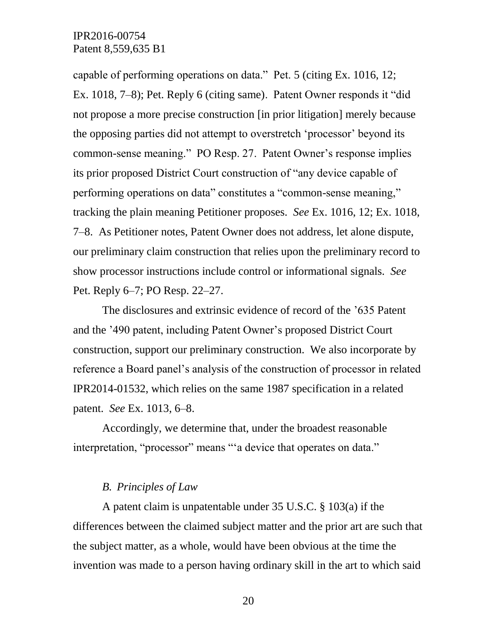capable of performing operations on data." Pet. 5 (citing Ex. 1016, 12; Ex. 1018, 7–8); Pet. Reply 6 (citing same). Patent Owner responds it "did not propose a more precise construction [in prior litigation] merely because the opposing parties did not attempt to overstretch 'processor' beyond its common-sense meaning." PO Resp. 27. Patent Owner's response implies its prior proposed District Court construction of "any device capable of performing operations on data" constitutes a "common-sense meaning," tracking the plain meaning Petitioner proposes. *See* Ex. 1016, 12; Ex. 1018, 7–8. As Petitioner notes, Patent Owner does not address, let alone dispute, our preliminary claim construction that relies upon the preliminary record to show processor instructions include control or informational signals. *See* Pet. Reply 6–7; PO Resp. 22–27.

The disclosures and extrinsic evidence of record of the '635 Patent and the '490 patent, including Patent Owner's proposed District Court construction, support our preliminary construction. We also incorporate by reference a Board panel's analysis of the construction of processor in related IPR2014-01532, which relies on the same 1987 specification in a related patent. *See* Ex. 1013, 6–8.

Accordingly, we determine that, under the broadest reasonable interpretation, "processor" means "'a device that operates on data."

#### *B. Principles of Law*

A patent claim is unpatentable under 35 U.S.C. § 103(a) if the differences between the claimed subject matter and the prior art are such that the subject matter, as a whole, would have been obvious at the time the invention was made to a person having ordinary skill in the art to which said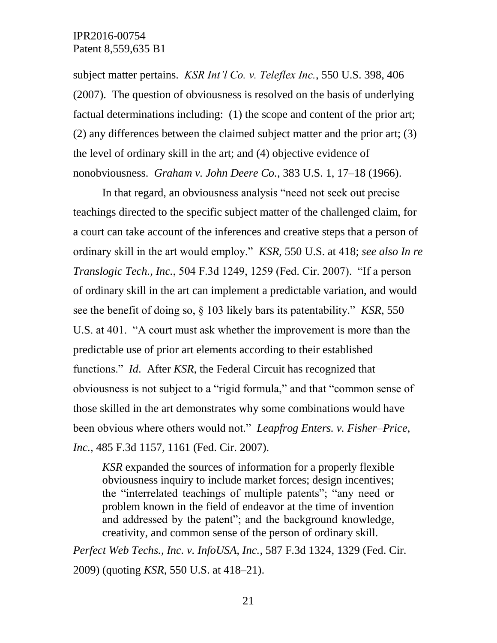subject matter pertains. *KSR Int'l Co. v. Teleflex Inc.*, 550 U.S. 398, 406 (2007). The question of obviousness is resolved on the basis of underlying factual determinations including: (1) the scope and content of the prior art; (2) any differences between the claimed subject matter and the prior art; (3) the level of ordinary skill in the art; and (4) objective evidence of nonobviousness. *Graham v. John Deere Co.*, 383 U.S. 1, 17–18 (1966).

In that regard, an obviousness analysis "need not seek out precise teachings directed to the specific subject matter of the challenged claim, for a court can take account of the inferences and creative steps that a person of ordinary skill in the art would employ." *KSR*, 550 U.S. at 418; *see also In re Translogic Tech., Inc.*, 504 F.3d 1249, 1259 (Fed. Cir. 2007). "If a person of ordinary skill in the art can implement a predictable variation, and would see the benefit of doing so, § 103 likely bars its patentability." *KSR*, 550 U.S. at 401. "A court must ask whether the improvement is more than the predictable use of prior art elements according to their established functions." *Id*. After *KSR*, the Federal Circuit has recognized that obviousness is not subject to a "rigid formula," and that "common sense of those skilled in the art demonstrates why some combinations would have been obvious where others would not." *Leapfrog Enters. v. Fisher–Price, Inc.*, 485 F.3d 1157, 1161 (Fed. Cir. 2007).

*KSR* expanded the sources of information for a properly flexible obviousness inquiry to include market forces; design incentives; the "interrelated teachings of multiple patents"; "any need or problem known in the field of endeavor at the time of invention and addressed by the patent"; and the background knowledge, creativity, and common sense of the person of ordinary skill.

*Perfect Web Techs., Inc. v. InfoUSA, Inc.*, 587 F.3d 1324, 1329 (Fed. Cir. 2009) (quoting *KSR*, 550 U.S. at 418–21).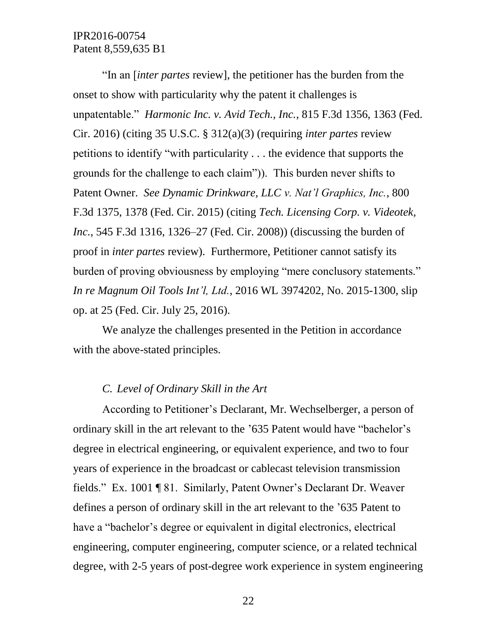"In an [*inter partes* review], the petitioner has the burden from the onset to show with particularity why the patent it challenges is unpatentable." *Harmonic Inc. v. Avid Tech., Inc.*, 815 F.3d 1356, 1363 (Fed. Cir. 2016) (citing 35 U.S.C. § 312(a)(3) (requiring *inter partes* review petitions to identify "with particularity . . . the evidence that supports the grounds for the challenge to each claim")). This burden never shifts to Patent Owner. *See Dynamic Drinkware, LLC v. Nat'l Graphics, Inc.*, 800 F.3d 1375, 1378 (Fed. Cir. 2015) (citing *Tech. Licensing Corp. v. Videotek, Inc.*, 545 F.3d 1316, 1326–27 (Fed. Cir. 2008)) (discussing the burden of proof in *inter partes* review). Furthermore, Petitioner cannot satisfy its burden of proving obviousness by employing "mere conclusory statements." *In re Magnum Oil Tools Int'l, Ltd.*, 2016 WL 3974202, No. 2015-1300, slip op. at 25 (Fed. Cir. July 25, 2016).

We analyze the challenges presented in the Petition in accordance with the above-stated principles.

## *C. Level of Ordinary Skill in the Art*

According to Petitioner's Declarant, Mr. Wechselberger, a person of ordinary skill in the art relevant to the '635 Patent would have "bachelor's degree in electrical engineering, or equivalent experience, and two to four years of experience in the broadcast or cablecast television transmission fields." Ex. 1001 ¶ 81. Similarly, Patent Owner's Declarant Dr. Weaver defines a person of ordinary skill in the art relevant to the '635 Patent to have a "bachelor's degree or equivalent in digital electronics, electrical engineering, computer engineering, computer science, or a related technical degree, with 2-5 years of post-degree work experience in system engineering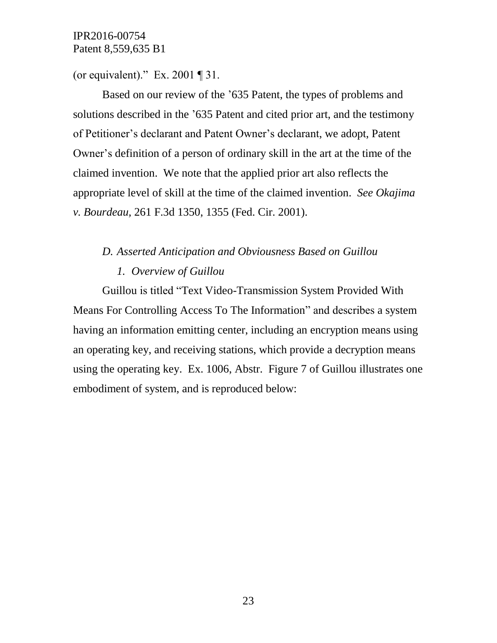(or equivalent)." Ex. 2001  $\P$  31.

Based on our review of the '635 Patent, the types of problems and solutions described in the '635 Patent and cited prior art, and the testimony of Petitioner's declarant and Patent Owner's declarant, we adopt, Patent Owner's definition of a person of ordinary skill in the art at the time of the claimed invention. We note that the applied prior art also reflects the appropriate level of skill at the time of the claimed invention. *See Okajima v. Bourdeau,* 261 F.3d 1350, 1355 (Fed. Cir. 2001).

## *D. Asserted Anticipation and Obviousness Based on Guillou*

### *1. Overview of Guillou*

Guillou is titled "Text Video-Transmission System Provided With Means For Controlling Access To The Information" and describes a system having an information emitting center, including an encryption means using an operating key, and receiving stations, which provide a decryption means using the operating key. Ex. 1006, Abstr. Figure 7 of Guillou illustrates one embodiment of system, and is reproduced below: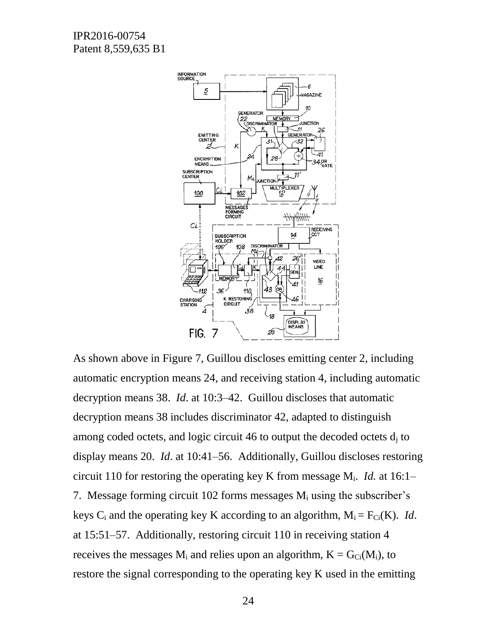

As shown above in Figure 7, Guillou discloses emitting center 2, including automatic encryption means 24, and receiving station 4, including automatic decryption means 38. *Id*. at 10:3–42. Guillou discloses that automatic decryption means 38 includes discriminator 42, adapted to distinguish among coded octets, and logic circuit 46 to output the decoded octets  $d_i$  to display means 20. *Id*. at 10:41–56. Additionally, Guillou discloses restoring circuit 110 for restoring the operating key K from message Mi. *Id.* at 16:1– 7. Message forming circuit 102 forms messages  $M_i$  using the subscriber's keys C<sub>i</sub> and the operating key K according to an algorithm,  $M_i = F_{Ci}(K)$ . *Id*. at 15:51–57. Additionally, restoring circuit 110 in receiving station 4 receives the messages  $M_i$  and relies upon an algorithm,  $K = G_{Ci}(M_i)$ , to restore the signal corresponding to the operating key K used in the emitting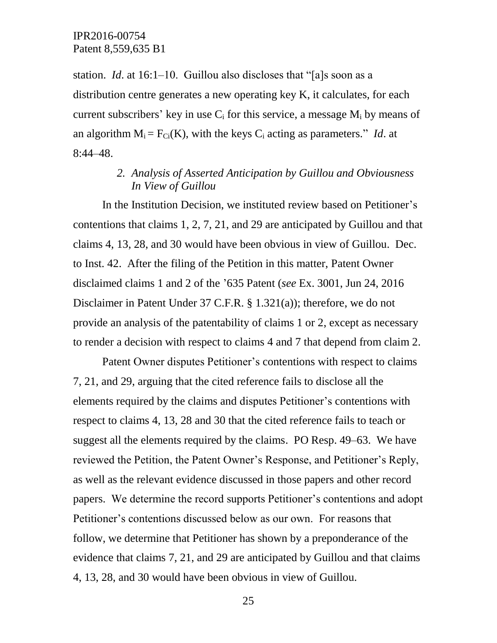station. *Id*. at 16:1–10. Guillou also discloses that "[a]s soon as a distribution centre generates a new operating key K, it calculates, for each current subscribers' key in use  $C_i$  for this service, a message  $M_i$  by means of an algorithm  $M_i = F_{Ci}(K)$ , with the keys  $C_i$  acting as parameters." *Id.* at 8:44–48.

# *2. Analysis of Asserted Anticipation by Guillou and Obviousness In View of Guillou*

In the Institution Decision, we instituted review based on Petitioner's contentions that claims 1, 2, 7, 21, and 29 are anticipated by Guillou and that claims 4, 13, 28, and 30 would have been obvious in view of Guillou. Dec. to Inst. 42. After the filing of the Petition in this matter, Patent Owner disclaimed claims 1 and 2 of the '635 Patent (*see* Ex. 3001, Jun 24, 2016 Disclaimer in Patent Under 37 C.F.R. § 1.321(a)); therefore, we do not provide an analysis of the patentability of claims 1 or 2, except as necessary to render a decision with respect to claims 4 and 7 that depend from claim 2.

Patent Owner disputes Petitioner's contentions with respect to claims 7, 21, and 29, arguing that the cited reference fails to disclose all the elements required by the claims and disputes Petitioner's contentions with respect to claims 4, 13, 28 and 30 that the cited reference fails to teach or suggest all the elements required by the claims. PO Resp. 49–63. We have reviewed the Petition, the Patent Owner's Response, and Petitioner's Reply, as well as the relevant evidence discussed in those papers and other record papers. We determine the record supports Petitioner's contentions and adopt Petitioner's contentions discussed below as our own. For reasons that follow, we determine that Petitioner has shown by a preponderance of the evidence that claims 7, 21, and 29 are anticipated by Guillou and that claims 4, 13, 28, and 30 would have been obvious in view of Guillou.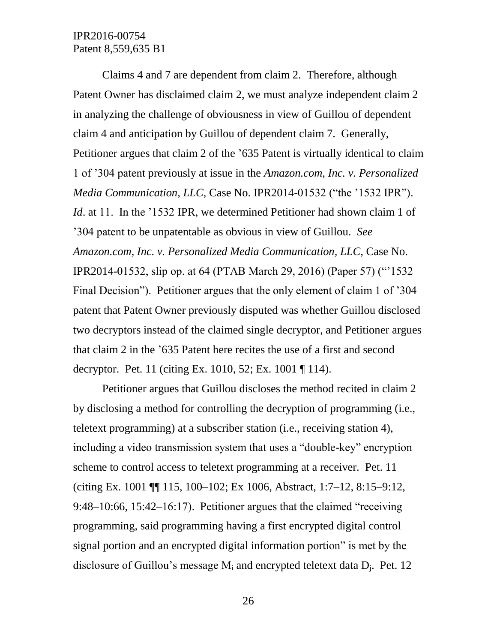Claims 4 and 7 are dependent from claim 2. Therefore, although Patent Owner has disclaimed claim 2, we must analyze independent claim 2 in analyzing the challenge of obviousness in view of Guillou of dependent claim 4 and anticipation by Guillou of dependent claim 7. Generally, Petitioner argues that claim 2 of the '635 Patent is virtually identical to claim 1 of '304 patent previously at issue in the *Amazon.com, Inc. v. Personalized Media Communication, LLC*, Case No. IPR2014-01532 ("the '1532 IPR"). *Id.* at 11. In the '1532 IPR, we determined Petitioner had shown claim 1 of '304 patent to be unpatentable as obvious in view of Guillou. *See Amazon.com, Inc. v. Personalized Media Communication, LLC*, Case No. IPR2014-01532, slip op. at 64 (PTAB March 29, 2016) (Paper 57) ("'1532 Final Decision"). Petitioner argues that the only element of claim 1 of '304 patent that Patent Owner previously disputed was whether Guillou disclosed two decryptors instead of the claimed single decryptor, and Petitioner argues that claim 2 in the '635 Patent here recites the use of a first and second decryptor. Pet. 11 (citing Ex. 1010, 52; Ex. 1001 ¶ 114).

Petitioner argues that Guillou discloses the method recited in claim 2 by disclosing a method for controlling the decryption of programming (i.e., teletext programming) at a subscriber station (i.e., receiving station 4), including a video transmission system that uses a "double-key" encryption scheme to control access to teletext programming at a receiver. Pet. 11 (citing Ex. 1001 ¶¶ 115, 100–102; Ex 1006, Abstract, 1:7–12, 8:15–9:12, 9:48–10:66, 15:42–16:17). Petitioner argues that the claimed "receiving programming, said programming having a first encrypted digital control signal portion and an encrypted digital information portion" is met by the disclosure of Guillou's message  $M_i$  and encrypted teletext data  $D_i$ . Pet. 12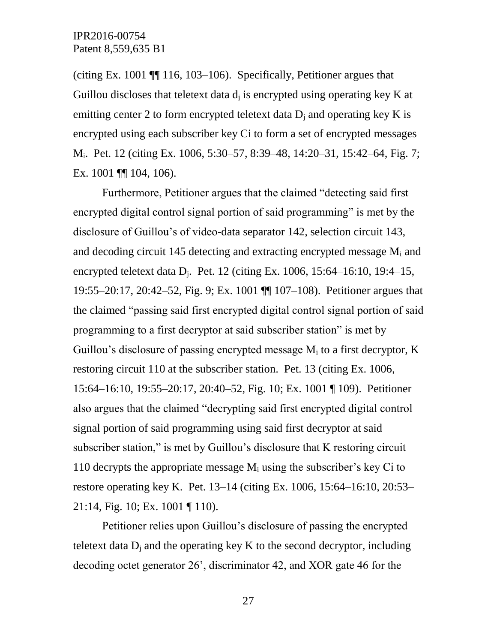(citing Ex. 1001 ¶¶ 116, 103–106). Specifically, Petitioner argues that Guillou discloses that teletext data  $d_i$  is encrypted using operating key K at emitting center 2 to form encrypted teletext data  $D_i$  and operating key K is encrypted using each subscriber key Ci to form a set of encrypted messages Mi. Pet. 12 (citing Ex. 1006, 5:30–57, 8:39–48, 14:20–31, 15:42–64, Fig. 7; Ex. 1001 ¶¶ 104, 106).

Furthermore, Petitioner argues that the claimed "detecting said first encrypted digital control signal portion of said programming" is met by the disclosure of Guillou's of video-data separator 142, selection circuit 143, and decoding circuit 145 detecting and extracting encrypted message  $M_i$  and encrypted teletext data  $D_i$ . Pet. 12 (citing Ex. 1006, 15:64–16:10, 19:4–15, 19:55–20:17, 20:42–52, Fig. 9; Ex. 1001 ¶¶ 107–108). Petitioner argues that the claimed "passing said first encrypted digital control signal portion of said programming to a first decryptor at said subscriber station" is met by Guillou's disclosure of passing encrypted message  $M_i$  to a first decryptor,  $K$ restoring circuit 110 at the subscriber station. Pet. 13 (citing Ex. 1006, 15:64–16:10, 19:55–20:17, 20:40–52, Fig. 10; Ex. 1001 ¶ 109). Petitioner also argues that the claimed "decrypting said first encrypted digital control signal portion of said programming using said first decryptor at said subscriber station," is met by Guillou's disclosure that K restoring circuit 110 decrypts the appropriate message  $M_i$  using the subscriber's key Ci to restore operating key K. Pet. 13–14 (citing Ex. 1006, 15:64–16:10, 20:53– 21:14, Fig. 10; Ex. 1001 ¶ 110).

Petitioner relies upon Guillou's disclosure of passing the encrypted teletext data  $D_i$  and the operating key K to the second decryptor, including decoding octet generator 26', discriminator 42, and XOR gate 46 for the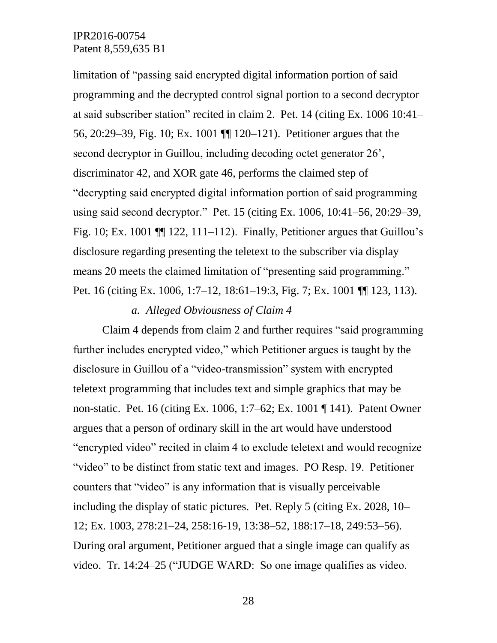limitation of "passing said encrypted digital information portion of said programming and the decrypted control signal portion to a second decryptor at said subscriber station" recited in claim 2. Pet. 14 (citing Ex. 1006 10:41– 56, 20:29–39, Fig. 10; Ex. 1001 ¶¶ 120–121). Petitioner argues that the second decryptor in Guillou, including decoding octet generator 26', discriminator 42, and XOR gate 46, performs the claimed step of "decrypting said encrypted digital information portion of said programming using said second decryptor." Pet. 15 (citing Ex. 1006, 10:41–56, 20:29–39, Fig. 10; Ex. 1001  $\P$  122, 111–112). Finally, Petitioner argues that Guillou's disclosure regarding presenting the teletext to the subscriber via display means 20 meets the claimed limitation of "presenting said programming." Pet. 16 (citing Ex. 1006, 1:7–12, 18:61–19:3, Fig. 7; Ex. 1001 ¶¶ 123, 113).

### *a. Alleged Obviousness of Claim 4*

Claim 4 depends from claim 2 and further requires "said programming further includes encrypted video," which Petitioner argues is taught by the disclosure in Guillou of a "video-transmission" system with encrypted teletext programming that includes text and simple graphics that may be non-static. Pet. 16 (citing Ex. 1006, 1:7–62; Ex. 1001 ¶ 141). Patent Owner argues that a person of ordinary skill in the art would have understood "encrypted video" recited in claim 4 to exclude teletext and would recognize "video" to be distinct from static text and images. PO Resp. 19. Petitioner counters that "video" is any information that is visually perceivable including the display of static pictures. Pet. Reply 5 (citing Ex. 2028, 10– 12; Ex. 1003, 278:21–24, 258:16-19, 13:38–52, 188:17–18, 249:53–56). During oral argument, Petitioner argued that a single image can qualify as video. Tr. 14:24–25 ("JUDGE WARD: So one image qualifies as video.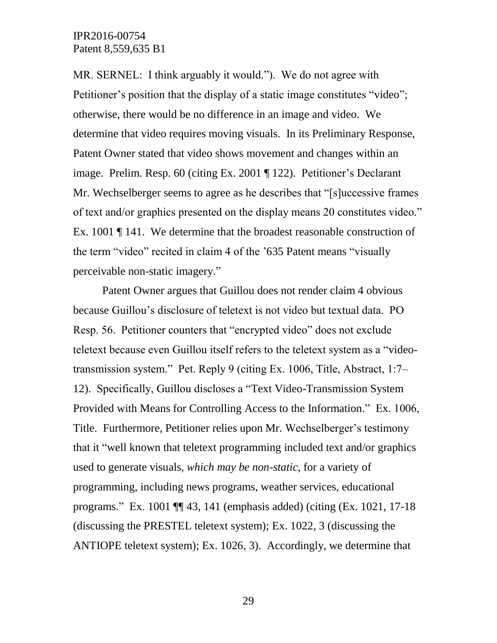MR. SERNEL: I think arguably it would."). We do not agree with Petitioner's position that the display of a static image constitutes "video"; otherwise, there would be no difference in an image and video. We determine that video requires moving visuals. In its Preliminary Response, Patent Owner stated that video shows movement and changes within an image. Prelim. Resp. 60 (citing Ex. 2001 ¶ 122). Petitioner's Declarant Mr. Wechselberger seems to agree as he describes that "[s]uccessive frames of text and/or graphics presented on the display means 20 constitutes video." Ex. 1001 ¶ 141. We determine that the broadest reasonable construction of the term "video" recited in claim 4 of the '635 Patent means "visually perceivable non-static imagery."

Patent Owner argues that Guillou does not render claim 4 obvious because Guillou's disclosure of teletext is not video but textual data. PO Resp. 56. Petitioner counters that "encrypted video" does not exclude teletext because even Guillou itself refers to the teletext system as a "videotransmission system." Pet. Reply 9 (citing Ex. 1006, Title, Abstract, 1:7– 12). Specifically, Guillou discloses a "Text Video-Transmission System Provided with Means for Controlling Access to the Information." Ex. 1006, Title. Furthermore, Petitioner relies upon Mr. Wechselberger's testimony that it "well known that teletext programming included text and/or graphics used to generate visuals, *which may be non-static*, for a variety of programming, including news programs, weather services, educational programs." Ex. 1001 ¶¶ 43, 141 (emphasis added) (citing (Ex. 1021, 17-18 (discussing the PRESTEL teletext system); Ex. 1022, 3 (discussing the ANTIOPE teletext system); Ex. 1026, 3). Accordingly, we determine that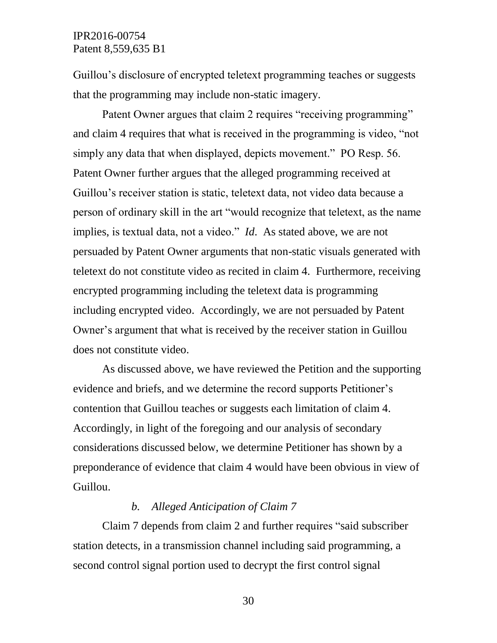Guillou's disclosure of encrypted teletext programming teaches or suggests that the programming may include non-static imagery.

Patent Owner argues that claim 2 requires "receiving programming" and claim 4 requires that what is received in the programming is video, "not simply any data that when displayed, depicts movement." PO Resp. 56. Patent Owner further argues that the alleged programming received at Guillou's receiver station is static, teletext data, not video data because a person of ordinary skill in the art "would recognize that teletext, as the name implies, is textual data, not a video." *Id*. As stated above, we are not persuaded by Patent Owner arguments that non-static visuals generated with teletext do not constitute video as recited in claim 4. Furthermore, receiving encrypted programming including the teletext data is programming including encrypted video. Accordingly, we are not persuaded by Patent Owner's argument that what is received by the receiver station in Guillou does not constitute video.

As discussed above, we have reviewed the Petition and the supporting evidence and briefs, and we determine the record supports Petitioner's contention that Guillou teaches or suggests each limitation of claim 4. Accordingly, in light of the foregoing and our analysis of secondary considerations discussed below, we determine Petitioner has shown by a preponderance of evidence that claim 4 would have been obvious in view of Guillou.

## *b. Alleged Anticipation of Claim 7*

Claim 7 depends from claim 2 and further requires "said subscriber station detects, in a transmission channel including said programming, a second control signal portion used to decrypt the first control signal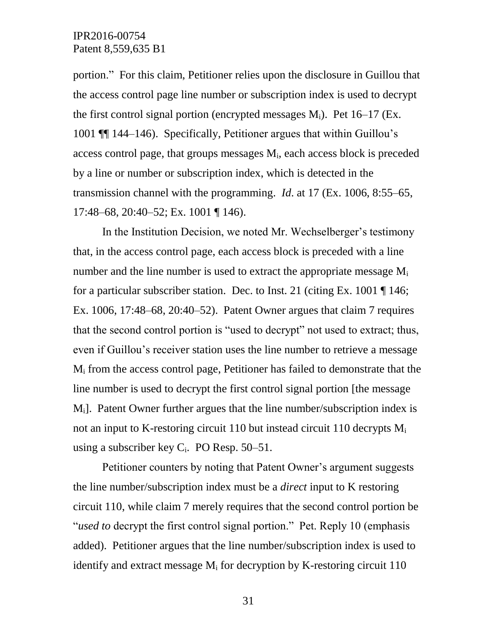portion." For this claim, Petitioner relies upon the disclosure in Guillou that the access control page line number or subscription index is used to decrypt the first control signal portion (encrypted messages  $M_i$ ). Pet 16–17 (Ex. 1001 ¶¶ 144–146). Specifically, Petitioner argues that within Guillou's access control page, that groups messages  $M_i$ , each access block is preceded by a line or number or subscription index, which is detected in the transmission channel with the programming. *Id*. at 17 (Ex. 1006, 8:55–65, 17:48–68, 20:40–52; Ex. 1001 ¶ 146).

In the Institution Decision, we noted Mr. Wechselberger's testimony that, in the access control page, each access block is preceded with a line number and the line number is used to extract the appropriate message  $M_i$ for a particular subscriber station. Dec. to Inst. 21 (citing Ex. 1001 ¶ 146; Ex. 1006, 17:48–68, 20:40–52). Patent Owner argues that claim 7 requires that the second control portion is "used to decrypt" not used to extract; thus, even if Guillou's receiver station uses the line number to retrieve a message M<sup>i</sup> from the access control page, Petitioner has failed to demonstrate that the line number is used to decrypt the first control signal portion [the message Mi]. Patent Owner further argues that the line number/subscription index is not an input to K-restoring circuit 110 but instead circuit 110 decrypts  $M_i$ using a subscriber key  $C_i$ . PO Resp. 50–51.

Petitioner counters by noting that Patent Owner's argument suggests the line number/subscription index must be a *direct* input to K restoring circuit 110, while claim 7 merely requires that the second control portion be "*used to* decrypt the first control signal portion." Pet. Reply 10 (emphasis added). Petitioner argues that the line number/subscription index is used to identify and extract message  $M_i$  for decryption by K-restoring circuit 110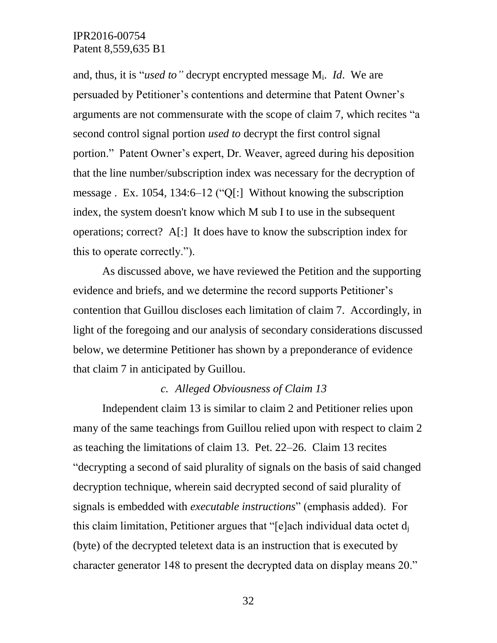and, thus, it is "*used to"* decrypt encrypted message Mi. *Id*. We are persuaded by Petitioner's contentions and determine that Patent Owner's arguments are not commensurate with the scope of claim 7, which recites "a second control signal portion *used to* decrypt the first control signal portion." Patent Owner's expert, Dr. Weaver, agreed during his deposition that the line number/subscription index was necessary for the decryption of message . Ex. 1054, 134:6–12 ("Q[:] Without knowing the subscription index, the system doesn't know which M sub I to use in the subsequent operations; correct? A[:] It does have to know the subscription index for this to operate correctly.").

As discussed above, we have reviewed the Petition and the supporting evidence and briefs, and we determine the record supports Petitioner's contention that Guillou discloses each limitation of claim 7. Accordingly, in light of the foregoing and our analysis of secondary considerations discussed below, we determine Petitioner has shown by a preponderance of evidence that claim 7 in anticipated by Guillou.

### *c. Alleged Obviousness of Claim 13*

Independent claim 13 is similar to claim 2 and Petitioner relies upon many of the same teachings from Guillou relied upon with respect to claim 2 as teaching the limitations of claim 13. Pet. 22–26. Claim 13 recites "decrypting a second of said plurality of signals on the basis of said changed decryption technique, wherein said decrypted second of said plurality of signals is embedded with *executable instructions*" (emphasis added). For this claim limitation, Petitioner argues that "[e]ach individual data octet  $d_i$ (byte) of the decrypted teletext data is an instruction that is executed by character generator 148 to present the decrypted data on display means 20."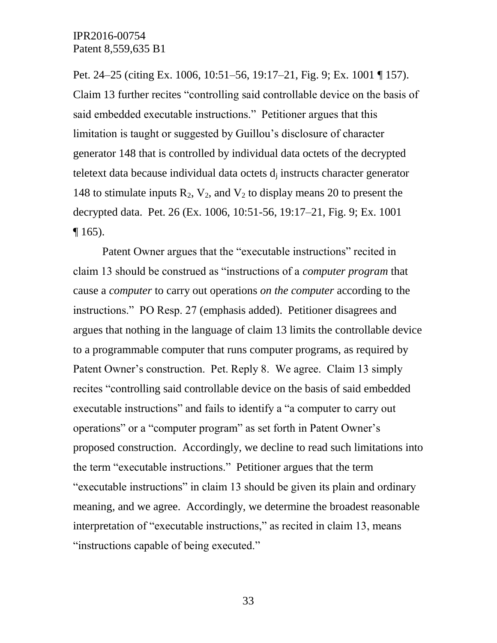Pet. 24–25 (citing Ex. 1006, 10:51–56, 19:17–21, Fig. 9; Ex. 1001 ¶ 157). Claim 13 further recites "controlling said controllable device on the basis of said embedded executable instructions." Petitioner argues that this limitation is taught or suggested by Guillou's disclosure of character generator 148 that is controlled by individual data octets of the decrypted teletext data because individual data octets  $d_i$  instructs character generator 148 to stimulate inputs  $R_2$ ,  $V_2$ , and  $V_2$  to display means 20 to present the decrypted data. Pet. 26 (Ex. 1006, 10:51-56, 19:17–21, Fig. 9; Ex. 1001  $\P$  165).

Patent Owner argues that the "executable instructions" recited in claim 13 should be construed as "instructions of a *computer program* that cause a *computer* to carry out operations *on the computer* according to the instructions." PO Resp. 27 (emphasis added). Petitioner disagrees and argues that nothing in the language of claim 13 limits the controllable device to a programmable computer that runs computer programs, as required by Patent Owner's construction. Pet. Reply 8. We agree. Claim 13 simply recites "controlling said controllable device on the basis of said embedded executable instructions" and fails to identify a "a computer to carry out operations" or a "computer program" as set forth in Patent Owner's proposed construction. Accordingly, we decline to read such limitations into the term "executable instructions." Petitioner argues that the term "executable instructions" in claim 13 should be given its plain and ordinary meaning, and we agree. Accordingly, we determine the broadest reasonable interpretation of "executable instructions," as recited in claim 13, means "instructions capable of being executed."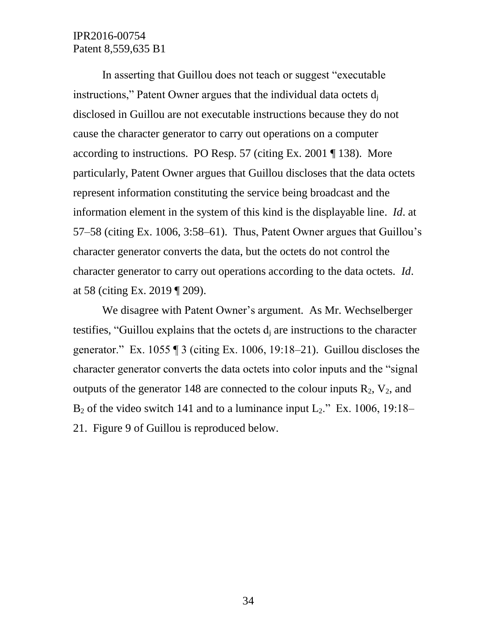In asserting that Guillou does not teach or suggest "executable instructions," Patent Owner argues that the individual data octets  $d_i$ disclosed in Guillou are not executable instructions because they do not cause the character generator to carry out operations on a computer according to instructions. PO Resp. 57 (citing Ex. 2001 ¶ 138). More particularly, Patent Owner argues that Guillou discloses that the data octets represent information constituting the service being broadcast and the information element in the system of this kind is the displayable line. *Id*. at 57–58 (citing Ex. 1006, 3:58–61). Thus, Patent Owner argues that Guillou's character generator converts the data, but the octets do not control the character generator to carry out operations according to the data octets. *Id*. at 58 (citing Ex. 2019 ¶ 209).

We disagree with Patent Owner's argument. As Mr. Wechselberger testifies, "Guillou explains that the octets  $d_i$  are instructions to the character generator." Ex. 1055  $\P$  3 (citing Ex. 1006, 19:18–21). Guillou discloses the character generator converts the data octets into color inputs and the "signal outputs of the generator 148 are connected to the colour inputs  $R_2$ ,  $V_2$ , and  $B_2$  of the video switch 141 and to a luminance input  $L_2$ ." Ex. 1006, 19:18– 21. Figure 9 of Guillou is reproduced below.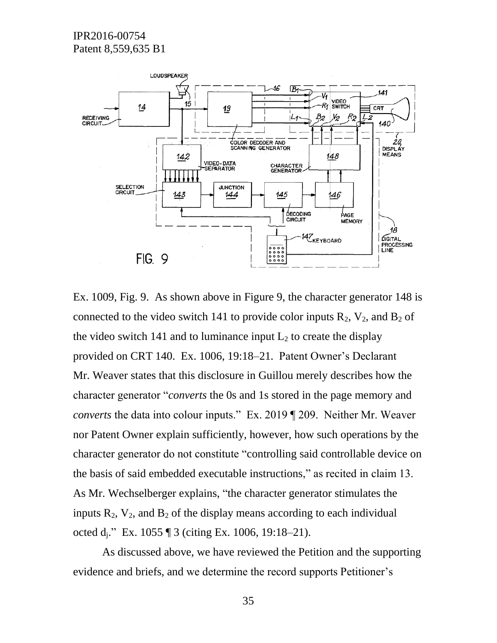

Ex. 1009, Fig. 9. As shown above in Figure 9, the character generator 148 is connected to the video switch 141 to provide color inputs  $R_2$ ,  $V_2$ , and  $B_2$  of the video switch 141 and to luminance input  $L_2$  to create the display provided on CRT 140. Ex. 1006, 19:18–21. Patent Owner's Declarant Mr. Weaver states that this disclosure in Guillou merely describes how the character generator "*converts* the 0s and 1s stored in the page memory and *converts* the data into colour inputs." Ex. 2019 ¶ 209. Neither Mr. Weaver nor Patent Owner explain sufficiently, however, how such operations by the character generator do not constitute "controlling said controllable device on the basis of said embedded executable instructions," as recited in claim 13. As Mr. Wechselberger explains, "the character generator stimulates the inputs  $R_2$ ,  $V_2$ , and  $B_2$  of the display means according to each individual octed dj." Ex. 1055 ¶ 3 (citing Ex. 1006, 19:18–21).

As discussed above, we have reviewed the Petition and the supporting evidence and briefs, and we determine the record supports Petitioner's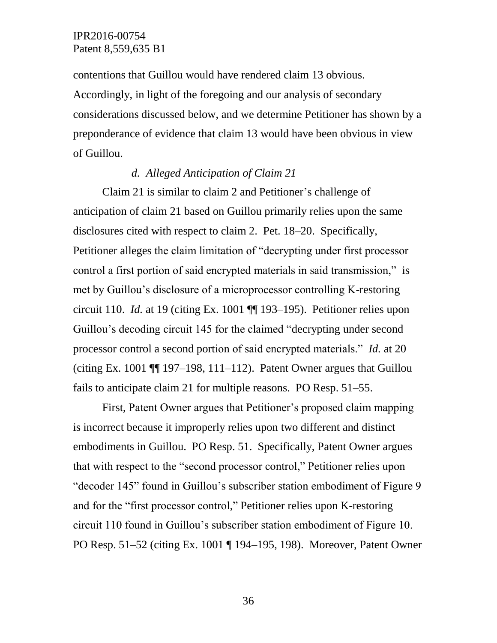contentions that Guillou would have rendered claim 13 obvious. Accordingly, in light of the foregoing and our analysis of secondary considerations discussed below, and we determine Petitioner has shown by a preponderance of evidence that claim 13 would have been obvious in view of Guillou.

## *d. Alleged Anticipation of Claim 21*

Claim 21 is similar to claim 2 and Petitioner's challenge of anticipation of claim 21 based on Guillou primarily relies upon the same disclosures cited with respect to claim 2. Pet. 18–20. Specifically, Petitioner alleges the claim limitation of "decrypting under first processor control a first portion of said encrypted materials in said transmission," is met by Guillou's disclosure of a microprocessor controlling K-restoring circuit 110. *Id.* at 19 (citing Ex. 1001 ¶¶ 193–195). Petitioner relies upon Guillou's decoding circuit 145 for the claimed "decrypting under second processor control a second portion of said encrypted materials." *Id.* at 20 (citing Ex. 1001  $\P$  197–198, 111–112). Patent Owner argues that Guillou fails to anticipate claim 21 for multiple reasons. PO Resp. 51–55.

First, Patent Owner argues that Petitioner's proposed claim mapping is incorrect because it improperly relies upon two different and distinct embodiments in Guillou. PO Resp. 51. Specifically, Patent Owner argues that with respect to the "second processor control," Petitioner relies upon "decoder 145" found in Guillou's subscriber station embodiment of Figure 9 and for the "first processor control," Petitioner relies upon K-restoring circuit 110 found in Guillou's subscriber station embodiment of Figure 10. PO Resp. 51–52 (citing Ex. 1001 ¶ 194–195, 198). Moreover, Patent Owner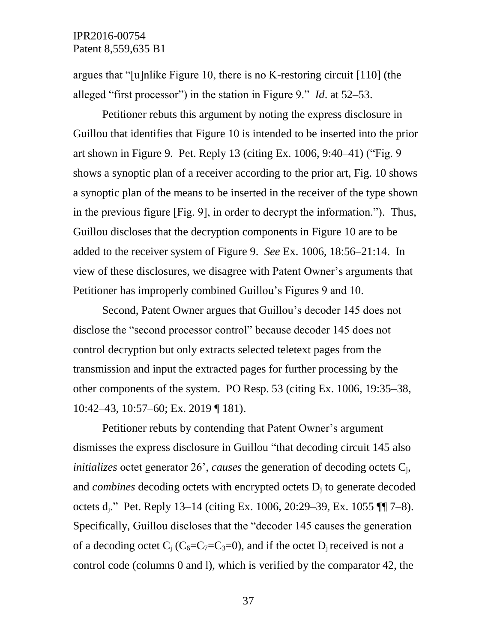argues that "[u]nlike Figure 10, there is no K-restoring circuit [110] (the alleged "first processor") in the station in Figure 9." *Id*. at 52–53.

Petitioner rebuts this argument by noting the express disclosure in Guillou that identifies that Figure 10 is intended to be inserted into the prior art shown in Figure 9. Pet. Reply 13 (citing Ex. 1006, 9:40–41) ("Fig. 9 shows a synoptic plan of a receiver according to the prior art, Fig. 10 shows a synoptic plan of the means to be inserted in the receiver of the type shown in the previous figure [Fig. 9], in order to decrypt the information."). Thus, Guillou discloses that the decryption components in Figure 10 are to be added to the receiver system of Figure 9. *See* Ex. 1006, 18:56–21:14. In view of these disclosures, we disagree with Patent Owner's arguments that Petitioner has improperly combined Guillou's Figures 9 and 10.

Second, Patent Owner argues that Guillou's decoder 145 does not disclose the "second processor control" because decoder 145 does not control decryption but only extracts selected teletext pages from the transmission and input the extracted pages for further processing by the other components of the system. PO Resp. 53 (citing Ex. 1006, 19:35–38, 10:42–43, 10:57–60; Ex. 2019 ¶ 181).

Petitioner rebuts by contending that Patent Owner's argument dismisses the express disclosure in Guillou "that decoding circuit 145 also *initializes* octet generator 26', *causes* the generation of decoding octets Cj, and *combines* decoding octets with encrypted octets  $D_i$  to generate decoded octets dj." Pet. Reply 13–14 (citing Ex. 1006, 20:29–39, Ex. 1055 ¶¶ 7–8). Specifically, Guillou discloses that the "decoder 145 causes the generation of a decoding octet  $C_i$  ( $C_6=C_7=C_7=0$ ), and if the octet D<sub>i</sub> received is not a control code (columns 0 and l), which is verified by the comparator 42, the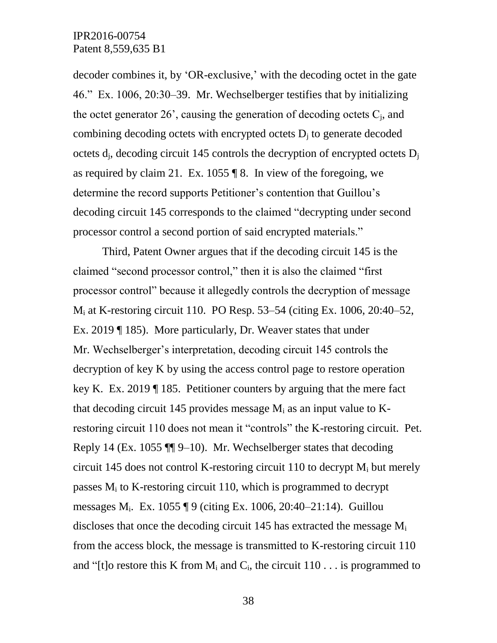decoder combines it, by 'OR-exclusive,' with the decoding octet in the gate 46." Ex. 1006, 20:30–39. Mr. Wechselberger testifies that by initializing the octet generator  $26'$ , causing the generation of decoding octets  $C_i$ , and combining decoding octets with encrypted octets  $D_i$  to generate decoded octets  $d_i$ , decoding circuit 145 controls the decryption of encrypted octets  $D_i$ as required by claim 21. Ex. 1055  $\sqrt{\phantom{a}}\$  8. In view of the foregoing, we determine the record supports Petitioner's contention that Guillou's decoding circuit 145 corresponds to the claimed "decrypting under second processor control a second portion of said encrypted materials."

Third, Patent Owner argues that if the decoding circuit 145 is the claimed "second processor control," then it is also the claimed "first processor control" because it allegedly controls the decryption of message M<sup>i</sup> at K-restoring circuit 110. PO Resp. 53–54 (citing Ex. 1006, 20:40–52, Ex. 2019 ¶ 185). More particularly, Dr. Weaver states that under Mr. Wechselberger's interpretation, decoding circuit 145 controls the decryption of key K by using the access control page to restore operation key K. Ex. 2019 ¶ 185. Petitioner counters by arguing that the mere fact that decoding circuit 145 provides message  $M_i$  as an input value to  $K$ restoring circuit 110 does not mean it "controls" the K-restoring circuit. Pet. Reply 14 (Ex. 1055 ¶¶ 9–10). Mr. Wechselberger states that decoding circuit 145 does not control K-restoring circuit 110 to decrypt  $M_i$  but merely passes  $M_i$  to K-restoring circuit 110, which is programmed to decrypt messages Mi. Ex. 1055 ¶ 9 (citing Ex. 1006, 20:40–21:14). Guillou discloses that once the decoding circuit 145 has extracted the message  $M_i$ from the access block, the message is transmitted to K-restoring circuit 110 and "[t]o restore this K from  $M_i$  and  $C_i$ , the circuit 110 . . . is programmed to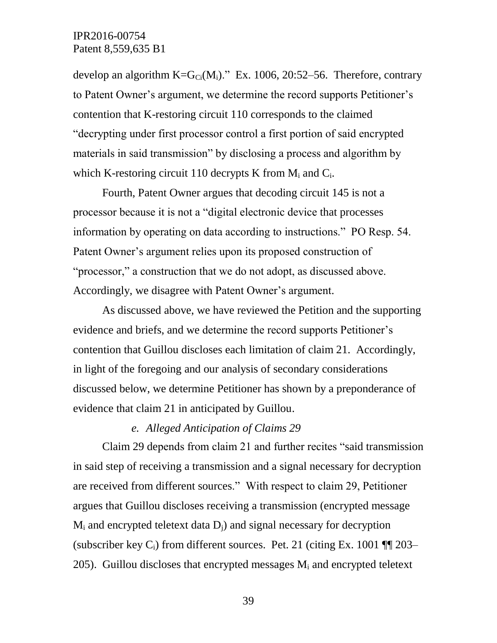develop an algorithm  $K=G_C(M_i)$ ." Ex. 1006, 20:52–56. Therefore, contrary to Patent Owner's argument, we determine the record supports Petitioner's contention that K-restoring circuit 110 corresponds to the claimed "decrypting under first processor control a first portion of said encrypted materials in said transmission" by disclosing a process and algorithm by which K-restoring circuit 110 decrypts K from  $M_i$  and  $C_i$ .

Fourth, Patent Owner argues that decoding circuit 145 is not a processor because it is not a "digital electronic device that processes information by operating on data according to instructions." PO Resp. 54. Patent Owner's argument relies upon its proposed construction of "processor," a construction that we do not adopt, as discussed above. Accordingly, we disagree with Patent Owner's argument.

As discussed above, we have reviewed the Petition and the supporting evidence and briefs, and we determine the record supports Petitioner's contention that Guillou discloses each limitation of claim 21. Accordingly, in light of the foregoing and our analysis of secondary considerations discussed below, we determine Petitioner has shown by a preponderance of evidence that claim 21 in anticipated by Guillou.

### *e. Alleged Anticipation of Claims 29*

Claim 29 depends from claim 21 and further recites "said transmission in said step of receiving a transmission and a signal necessary for decryption are received from different sources." With respect to claim 29, Petitioner argues that Guillou discloses receiving a transmission (encrypted message  $M_i$  and encrypted teletext data  $D_i$ ) and signal necessary for decryption (subscriber key  $C_i$ ) from different sources. Pet. 21 (citing Ex. 1001  $\P$  203– 205). Guillou discloses that encrypted messages  $M_i$  and encrypted teletext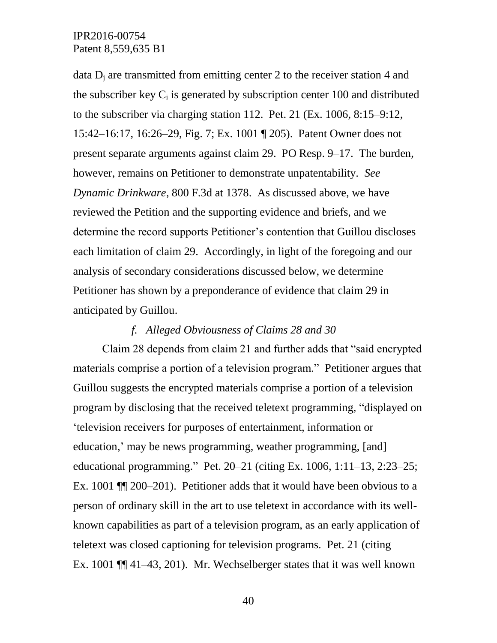data  $D_i$  are transmitted from emitting center 2 to the receiver station 4 and the subscriber key  $C_i$  is generated by subscription center 100 and distributed to the subscriber via charging station 112. Pet. 21 (Ex. 1006, 8:15–9:12, 15:42–16:17, 16:26–29, Fig. 7; Ex. 1001 ¶ 205). Patent Owner does not present separate arguments against claim 29. PO Resp. 9–17. The burden, however, remains on Petitioner to demonstrate unpatentability. *See Dynamic Drinkware*, 800 F.3d at 1378. As discussed above, we have reviewed the Petition and the supporting evidence and briefs, and we determine the record supports Petitioner's contention that Guillou discloses each limitation of claim 29. Accordingly, in light of the foregoing and our analysis of secondary considerations discussed below, we determine Petitioner has shown by a preponderance of evidence that claim 29 in anticipated by Guillou.

#### *f. Alleged Obviousness of Claims 28 and 30*

Claim 28 depends from claim 21 and further adds that "said encrypted materials comprise a portion of a television program." Petitioner argues that Guillou suggests the encrypted materials comprise a portion of a television program by disclosing that the received teletext programming, "displayed on 'television receivers for purposes of entertainment, information or education,' may be news programming, weather programming, [and] educational programming." Pet. 20–21 (citing Ex. 1006, 1:11–13, 2:23–25; Ex. 1001 ¶¶ 200–201). Petitioner adds that it would have been obvious to a person of ordinary skill in the art to use teletext in accordance with its wellknown capabilities as part of a television program, as an early application of teletext was closed captioning for television programs. Pet. 21 (citing Ex. 1001 ¶¶ 41–43, 201). Mr. Wechselberger states that it was well known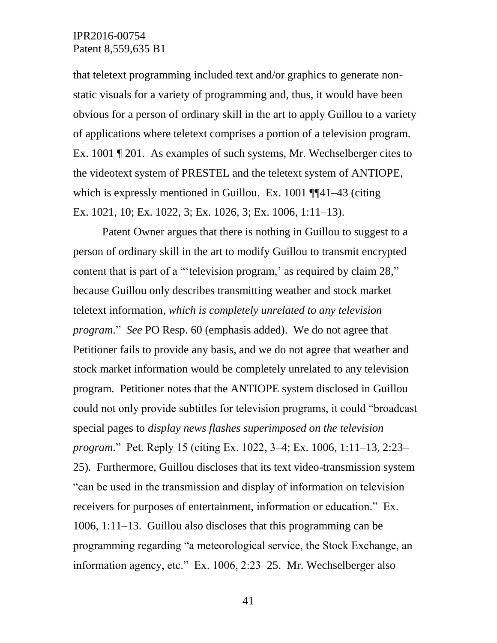that teletext programming included text and/or graphics to generate nonstatic visuals for a variety of programming and, thus, it would have been obvious for a person of ordinary skill in the art to apply Guillou to a variety of applications where teletext comprises a portion of a television program. Ex. 1001 ¶ 201. As examples of such systems, Mr. Wechselberger cites to the videotext system of PRESTEL and the teletext system of ANTIOPE, which is expressly mentioned in Guillou. Ex. 1001 ¶¶41–43 (citing Ex. 1021, 10; Ex. 1022, 3; Ex. 1026, 3; Ex. 1006, 1:11–13).

Patent Owner argues that there is nothing in Guillou to suggest to a person of ordinary skill in the art to modify Guillou to transmit encrypted content that is part of a "'television program,' as required by claim 28," because Guillou only describes transmitting weather and stock market teletext information, *which is completely unrelated to any television program*." *See* PO Resp. 60 (emphasis added). We do not agree that Petitioner fails to provide any basis, and we do not agree that weather and stock market information would be completely unrelated to any television program. Petitioner notes that the ANTIOPE system disclosed in Guillou could not only provide subtitles for television programs, it could "broadcast special pages to *display news flashes superimposed on the television program*." Pet. Reply 15 (citing Ex. 1022, 3–4; Ex. 1006, 1:11–13, 2:23– 25). Furthermore, Guillou discloses that its text video-transmission system "can be used in the transmission and display of information on television receivers for purposes of entertainment, information or education." Ex. 1006, 1:11–13. Guillou also discloses that this programming can be programming regarding "a meteorological service, the Stock Exchange, an information agency, etc." Ex. 1006, 2:23–25. Mr. Wechselberger also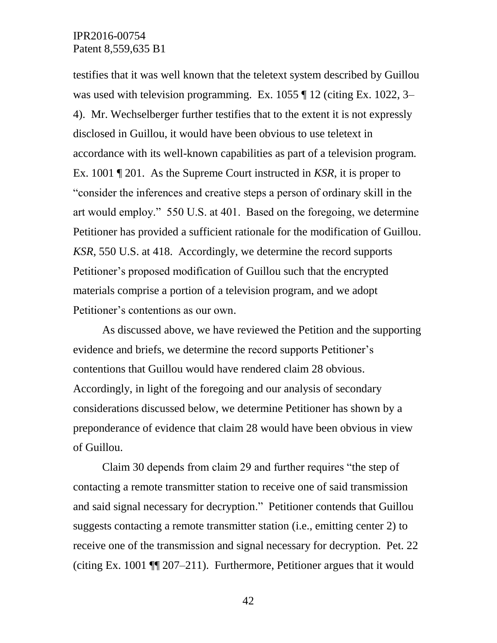testifies that it was well known that the teletext system described by Guillou was used with television programming. Ex. 1055 ¶ 12 (citing Ex. 1022, 3– 4). Mr. Wechselberger further testifies that to the extent it is not expressly disclosed in Guillou, it would have been obvious to use teletext in accordance with its well-known capabilities as part of a television program. Ex. 1001 ¶ 201. As the Supreme Court instructed in *KSR*, it is proper to "consider the inferences and creative steps a person of ordinary skill in the art would employ." 550 U.S. at 401. Based on the foregoing, we determine Petitioner has provided a sufficient rationale for the modification of Guillou. *KSR*, 550 U.S. at 418. Accordingly, we determine the record supports Petitioner's proposed modification of Guillou such that the encrypted materials comprise a portion of a television program, and we adopt Petitioner's contentions as our own.

As discussed above, we have reviewed the Petition and the supporting evidence and briefs, we determine the record supports Petitioner's contentions that Guillou would have rendered claim 28 obvious. Accordingly, in light of the foregoing and our analysis of secondary considerations discussed below, we determine Petitioner has shown by a preponderance of evidence that claim 28 would have been obvious in view of Guillou.

Claim 30 depends from claim 29 and further requires "the step of contacting a remote transmitter station to receive one of said transmission and said signal necessary for decryption." Petitioner contends that Guillou suggests contacting a remote transmitter station (i.e., emitting center 2) to receive one of the transmission and signal necessary for decryption. Pet. 22 (citing Ex. 1001 ¶¶ 207–211). Furthermore, Petitioner argues that it would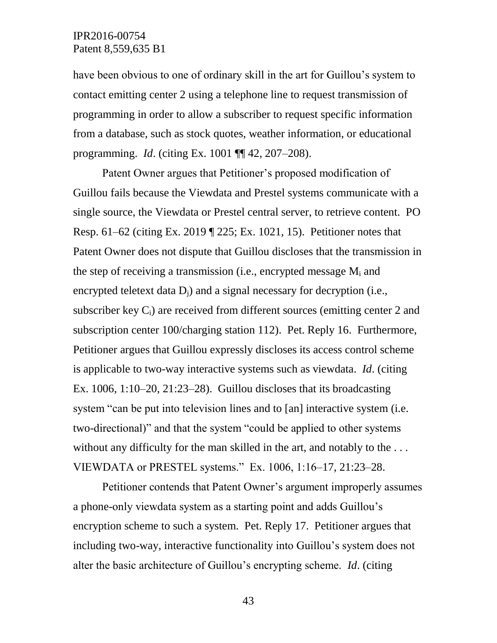have been obvious to one of ordinary skill in the art for Guillou's system to contact emitting center 2 using a telephone line to request transmission of programming in order to allow a subscriber to request specific information from a database, such as stock quotes, weather information, or educational programming. *Id*. (citing Ex. 1001 ¶¶ 42, 207–208).

Patent Owner argues that Petitioner's proposed modification of Guillou fails because the Viewdata and Prestel systems communicate with a single source, the Viewdata or Prestel central server, to retrieve content. PO Resp. 61–62 (citing Ex. 2019 ¶ 225; Ex. 1021, 15). Petitioner notes that Patent Owner does not dispute that Guillou discloses that the transmission in the step of receiving a transmission (i.e., encrypted message  $M_i$  and encrypted teletext data  $D_i$ ) and a signal necessary for decryption (i.e., subscriber key  $C_i$ ) are received from different sources (emitting center 2 and subscription center 100/charging station 112). Pet. Reply 16. Furthermore, Petitioner argues that Guillou expressly discloses its access control scheme is applicable to two-way interactive systems such as viewdata. *Id*. (citing Ex.  $1006$ ,  $1:10-20$ ,  $21:23-28$ ). Guillou discloses that its broadcasting system "can be put into television lines and to [an] interactive system (i.e. two-directional)" and that the system "could be applied to other systems without any difficulty for the man skilled in the art, and notably to the ... VIEWDATA or PRESTEL systems." Ex. 1006, 1:16–17, 21:23–28.

Petitioner contends that Patent Owner's argument improperly assumes a phone-only viewdata system as a starting point and adds Guillou's encryption scheme to such a system. Pet. Reply 17. Petitioner argues that including two-way, interactive functionality into Guillou's system does not alter the basic architecture of Guillou's encrypting scheme. *Id*. (citing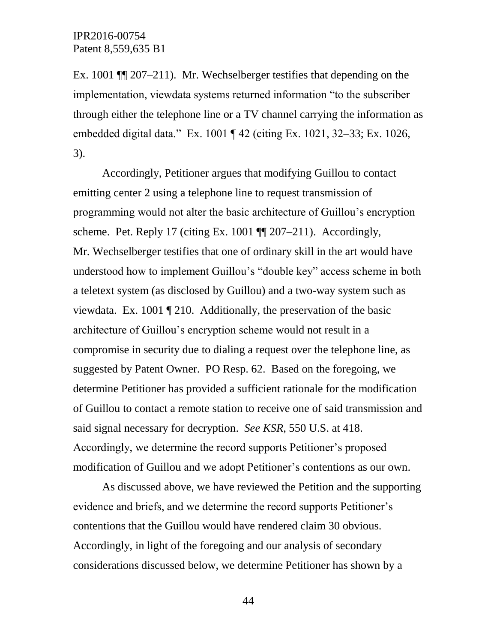Ex. 1001 ¶¶ 207–211). Mr. Wechselberger testifies that depending on the implementation, viewdata systems returned information "to the subscriber through either the telephone line or a TV channel carrying the information as embedded digital data." Ex. 1001 ¶ 42 (citing Ex. 1021, 32–33; Ex. 1026, 3).

Accordingly, Petitioner argues that modifying Guillou to contact emitting center 2 using a telephone line to request transmission of programming would not alter the basic architecture of Guillou's encryption scheme. Pet. Reply 17 (citing Ex. 1001  $\P$  $[207-211]$ ). Accordingly, Mr. Wechselberger testifies that one of ordinary skill in the art would have understood how to implement Guillou's "double key" access scheme in both a teletext system (as disclosed by Guillou) and a two-way system such as viewdata. Ex. 1001 ¶ 210. Additionally, the preservation of the basic architecture of Guillou's encryption scheme would not result in a compromise in security due to dialing a request over the telephone line, as suggested by Patent Owner. PO Resp. 62. Based on the foregoing, we determine Petitioner has provided a sufficient rationale for the modification of Guillou to contact a remote station to receive one of said transmission and said signal necessary for decryption. *See KSR*, 550 U.S. at 418. Accordingly, we determine the record supports Petitioner's proposed modification of Guillou and we adopt Petitioner's contentions as our own.

As discussed above, we have reviewed the Petition and the supporting evidence and briefs, and we determine the record supports Petitioner's contentions that the Guillou would have rendered claim 30 obvious. Accordingly, in light of the foregoing and our analysis of secondary considerations discussed below, we determine Petitioner has shown by a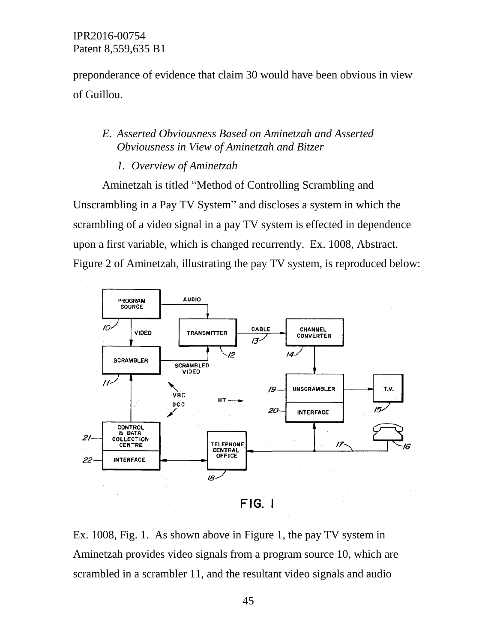preponderance of evidence that claim 30 would have been obvious in view of Guillou.

## *E. Asserted Obviousness Based on Aminetzah and Asserted Obviousness in View of Aminetzah and Bitzer*

### *1. Overview of Aminetzah*

Aminetzah is titled "Method of Controlling Scrambling and Unscrambling in a Pay TV System" and discloses a system in which the scrambling of a video signal in a pay TV system is effected in dependence upon a first variable, which is changed recurrently. Ex. 1008, Abstract. Figure 2 of Aminetzah, illustrating the pay TV system, is reproduced below:



 $FIG.$ 

Ex. 1008, Fig. 1. As shown above in Figure 1, the pay TV system in Aminetzah provides video signals from a program source 10, which are scrambled in a scrambler 11, and the resultant video signals and audio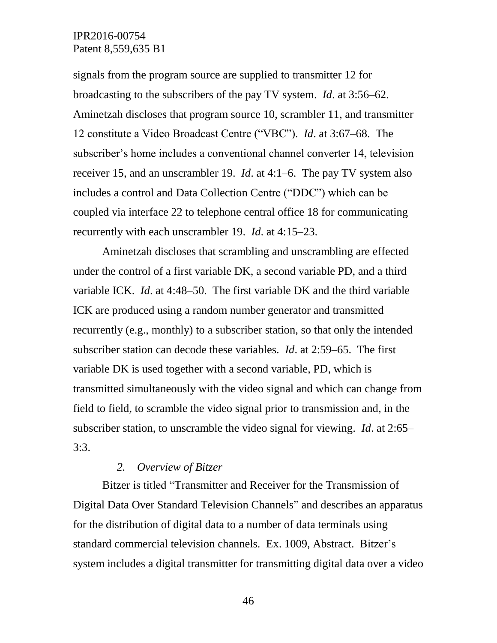signals from the program source are supplied to transmitter 12 for broadcasting to the subscribers of the pay TV system. *Id*. at 3:56–62. Aminetzah discloses that program source 10, scrambler 11, and transmitter 12 constitute a Video Broadcast Centre ("VBC"). *Id*. at 3:67–68. The subscriber's home includes a conventional channel converter 14, television receiver 15, and an unscrambler 19. *Id*. at 4:1–6. The pay TV system also includes a control and Data Collection Centre ("DDC") which can be coupled via interface 22 to telephone central office 18 for communicating recurrently with each unscrambler 19. *Id*. at 4:15–23.

Aminetzah discloses that scrambling and unscrambling are effected under the control of a first variable DK, a second variable PD, and a third variable ICK. *Id*. at 4:48–50. The first variable DK and the third variable ICK are produced using a random number generator and transmitted recurrently (e.g., monthly) to a subscriber station, so that only the intended subscriber station can decode these variables. *Id*. at 2:59–65. The first variable DK is used together with a second variable, PD, which is transmitted simultaneously with the video signal and which can change from field to field, to scramble the video signal prior to transmission and, in the subscriber station, to unscramble the video signal for viewing. *Id*. at 2:65–  $3:3.$ 

#### *2. Overview of Bitzer*

Bitzer is titled "Transmitter and Receiver for the Transmission of Digital Data Over Standard Television Channels" and describes an apparatus for the distribution of digital data to a number of data terminals using standard commercial television channels. Ex. 1009, Abstract. Bitzer's system includes a digital transmitter for transmitting digital data over a video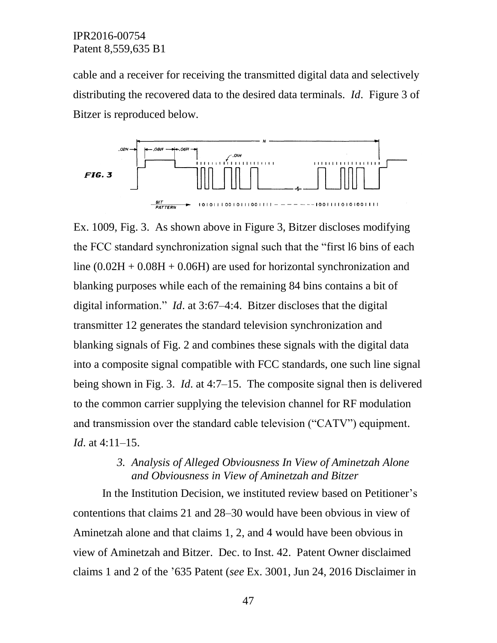cable and a receiver for receiving the transmitted digital data and selectively distributing the recovered data to the desired data terminals. *Id*. Figure 3 of Bitzer is reproduced below.



Ex. 1009, Fig. 3. As shown above in Figure 3, Bitzer discloses modifying the FCC standard synchronization signal such that the "first l6 bins of each line  $(0.02H + 0.08H + 0.06H)$  are used for horizontal synchronization and blanking purposes while each of the remaining 84 bins contains a bit of digital information." *Id*. at 3:67–4:4. Bitzer discloses that the digital transmitter 12 generates the standard television synchronization and blanking signals of Fig. 2 and combines these signals with the digital data into a composite signal compatible with FCC standards, one such line signal being shown in Fig. 3. *Id*. at 4:7–15. The composite signal then is delivered to the common carrier supplying the television channel for RF modulation and transmission over the standard cable television ("CATV") equipment. *Id*. at 4:11–15.

## *3. Analysis of Alleged Obviousness In View of Aminetzah Alone and Obviousness in View of Aminetzah and Bitzer*

In the Institution Decision, we instituted review based on Petitioner's contentions that claims 21 and 28–30 would have been obvious in view of Aminetzah alone and that claims 1, 2, and 4 would have been obvious in view of Aminetzah and Bitzer. Dec. to Inst. 42. Patent Owner disclaimed claims 1 and 2 of the '635 Patent (*see* Ex. 3001, Jun 24, 2016 Disclaimer in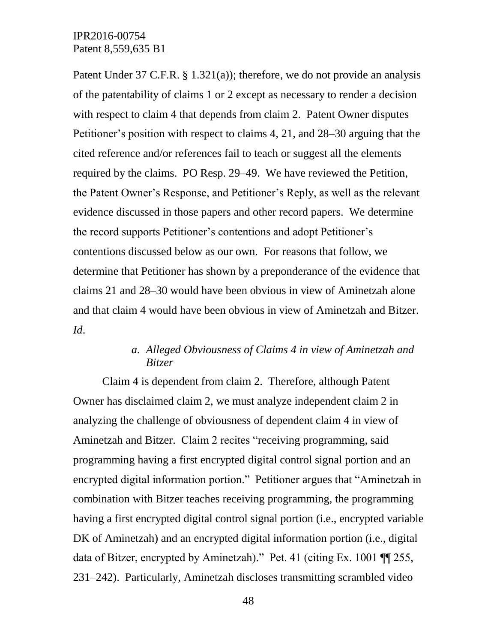Patent Under 37 C.F.R. § 1.321(a)); therefore, we do not provide an analysis of the patentability of claims 1 or 2 except as necessary to render a decision with respect to claim 4 that depends from claim 2. Patent Owner disputes Petitioner's position with respect to claims 4, 21, and 28–30 arguing that the cited reference and/or references fail to teach or suggest all the elements required by the claims. PO Resp. 29–49. We have reviewed the Petition, the Patent Owner's Response, and Petitioner's Reply, as well as the relevant evidence discussed in those papers and other record papers. We determine the record supports Petitioner's contentions and adopt Petitioner's contentions discussed below as our own. For reasons that follow, we determine that Petitioner has shown by a preponderance of the evidence that claims 21 and 28–30 would have been obvious in view of Aminetzah alone and that claim 4 would have been obvious in view of Aminetzah and Bitzer. *Id*.

# *a. Alleged Obviousness of Claims 4 in view of Aminetzah and Bitzer*

Claim 4 is dependent from claim 2. Therefore, although Patent Owner has disclaimed claim 2, we must analyze independent claim 2 in analyzing the challenge of obviousness of dependent claim 4 in view of Aminetzah and Bitzer. Claim 2 recites "receiving programming, said programming having a first encrypted digital control signal portion and an encrypted digital information portion." Petitioner argues that "Aminetzah in combination with Bitzer teaches receiving programming, the programming having a first encrypted digital control signal portion (i.e., encrypted variable DK of Aminetzah) and an encrypted digital information portion (i.e., digital data of Bitzer, encrypted by Aminetzah)." Pet. 41 (citing Ex. 1001 ¶¶ 255, 231–242). Particularly, Aminetzah discloses transmitting scrambled video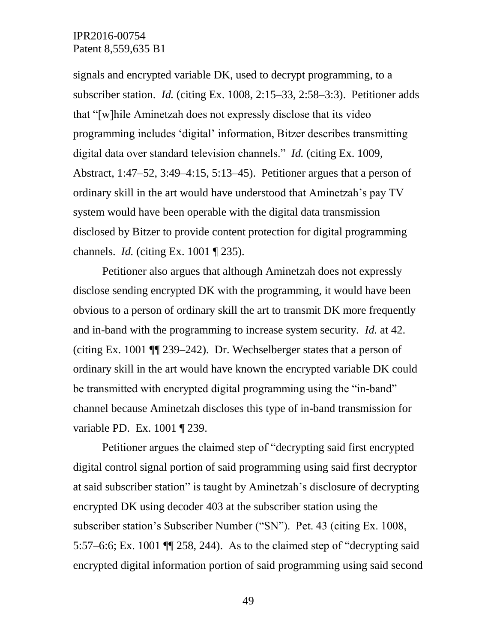signals and encrypted variable DK, used to decrypt programming, to a subscriber station. *Id.* (citing Ex. 1008, 2:15–33, 2:58–3:3). Petitioner adds that "[w]hile Aminetzah does not expressly disclose that its video programming includes 'digital' information, Bitzer describes transmitting digital data over standard television channels." *Id.* (citing Ex. 1009, Abstract, 1:47–52, 3:49–4:15, 5:13–45). Petitioner argues that a person of ordinary skill in the art would have understood that Aminetzah's pay TV system would have been operable with the digital data transmission disclosed by Bitzer to provide content protection for digital programming channels. *Id.* (citing Ex. 1001 ¶ 235).

Petitioner also argues that although Aminetzah does not expressly disclose sending encrypted DK with the programming, it would have been obvious to a person of ordinary skill the art to transmit DK more frequently and in-band with the programming to increase system security. *Id.* at 42. (citing Ex. 1001 ¶¶ 239–242). Dr. Wechselberger states that a person of ordinary skill in the art would have known the encrypted variable DK could be transmitted with encrypted digital programming using the "in-band" channel because Aminetzah discloses this type of in-band transmission for variable PD. Ex. 1001 ¶ 239.

Petitioner argues the claimed step of "decrypting said first encrypted digital control signal portion of said programming using said first decryptor at said subscriber station" is taught by Aminetzah's disclosure of decrypting encrypted DK using decoder 403 at the subscriber station using the subscriber station's Subscriber Number ("SN"). Pet. 43 (citing Ex. 1008, 5:57–6:6; Ex. 1001 ¶¶ 258, 244). As to the claimed step of "decrypting said encrypted digital information portion of said programming using said second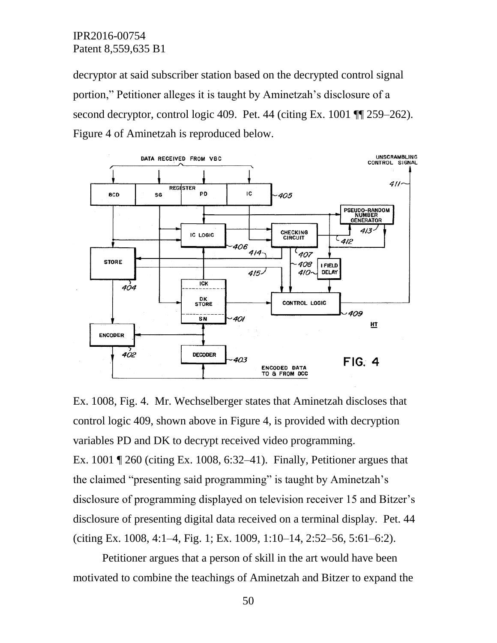decryptor at said subscriber station based on the decrypted control signal portion," Petitioner alleges it is taught by Aminetzah's disclosure of a second decryptor, control logic 409. Pet. 44 (citing Ex. 1001  $\P$  259–262). Figure 4 of Aminetzah is reproduced below.



Ex. 1008, Fig. 4. Mr. Wechselberger states that Aminetzah discloses that control logic 409, shown above in Figure 4, is provided with decryption variables PD and DK to decrypt received video programming. Ex. 1001 ¶ 260 (citing Ex. 1008, 6:32–41). Finally, Petitioner argues that the claimed "presenting said programming" is taught by Aminetzah's disclosure of programming displayed on television receiver 15 and Bitzer's disclosure of presenting digital data received on a terminal display. Pet. 44 (citing Ex. 1008, 4:1–4, Fig. 1; Ex. 1009, 1:10–14, 2:52–56, 5:61–6:2).

Petitioner argues that a person of skill in the art would have been motivated to combine the teachings of Aminetzah and Bitzer to expand the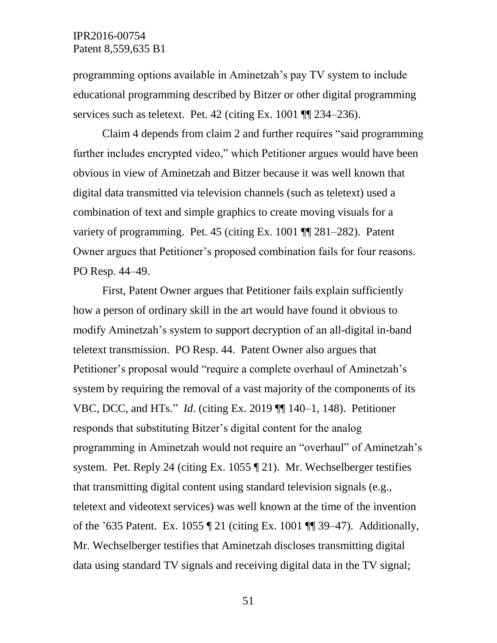programming options available in Aminetzah's pay TV system to include educational programming described by Bitzer or other digital programming services such as teletext. Pet. 42 (citing Ex. 1001  $\P$  234–236).

Claim 4 depends from claim 2 and further requires "said programming further includes encrypted video," which Petitioner argues would have been obvious in view of Aminetzah and Bitzer because it was well known that digital data transmitted via television channels (such as teletext) used a combination of text and simple graphics to create moving visuals for a variety of programming. Pet. 45 (citing Ex. 1001 ¶¶ 281–282). Patent Owner argues that Petitioner's proposed combination fails for four reasons. PO Resp. 44–49.

First, Patent Owner argues that Petitioner fails explain sufficiently how a person of ordinary skill in the art would have found it obvious to modify Aminetzah's system to support decryption of an all-digital in-band teletext transmission. PO Resp. 44. Patent Owner also argues that Petitioner's proposal would "require a complete overhaul of Aminetzah's system by requiring the removal of a vast majority of the components of its VBC, DCC, and HTs." *Id*. (citing Ex. 2019 ¶¶ 140–1, 148). Petitioner responds that substituting Bitzer's digital content for the analog programming in Aminetzah would not require an "overhaul" of Aminetzah's system. Pet. Reply 24 (citing Ex. 1055 ¶ 21). Mr. Wechselberger testifies that transmitting digital content using standard television signals (e.g., teletext and videotext services) was well known at the time of the invention of the '635 Patent. Ex. 1055 ¶ 21 (citing Ex. 1001 ¶¶ 39–47). Additionally, Mr. Wechselberger testifies that Aminetzah discloses transmitting digital data using standard TV signals and receiving digital data in the TV signal;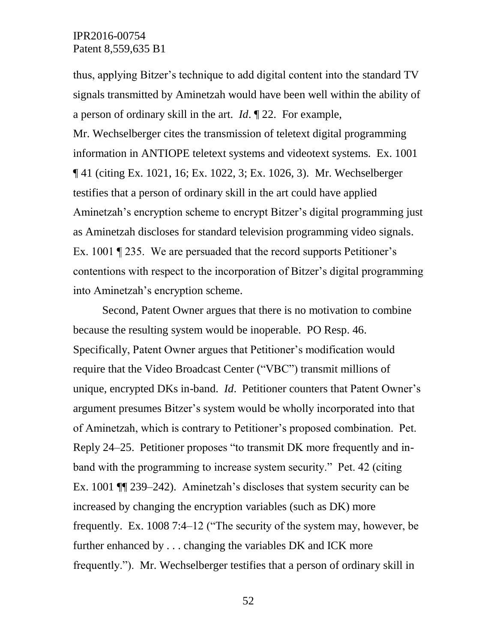thus, applying Bitzer's technique to add digital content into the standard TV signals transmitted by Aminetzah would have been well within the ability of a person of ordinary skill in the art. *Id*. ¶ 22. For example, Mr. Wechselberger cites the transmission of teletext digital programming information in ANTIOPE teletext systems and videotext systems. Ex. 1001 ¶ 41 (citing Ex. 1021, 16; Ex. 1022, 3; Ex. 1026, 3). Mr. Wechselberger testifies that a person of ordinary skill in the art could have applied Aminetzah's encryption scheme to encrypt Bitzer's digital programming just as Aminetzah discloses for standard television programming video signals. Ex. 1001 ¶ 235. We are persuaded that the record supports Petitioner's contentions with respect to the incorporation of Bitzer's digital programming into Aminetzah's encryption scheme.

Second, Patent Owner argues that there is no motivation to combine because the resulting system would be inoperable. PO Resp. 46. Specifically, Patent Owner argues that Petitioner's modification would require that the Video Broadcast Center ("VBC") transmit millions of unique, encrypted DKs in-band. *Id*. Petitioner counters that Patent Owner's argument presumes Bitzer's system would be wholly incorporated into that of Aminetzah, which is contrary to Petitioner's proposed combination. Pet. Reply 24–25. Petitioner proposes "to transmit DK more frequently and inband with the programming to increase system security." Pet. 42 (citing Ex. 1001 ¶¶ 239–242). Aminetzah's discloses that system security can be increased by changing the encryption variables (such as DK) more frequently. Ex. 1008 7:4–12 ("The security of the system may, however, be further enhanced by . . . changing the variables DK and ICK more frequently."). Mr. Wechselberger testifies that a person of ordinary skill in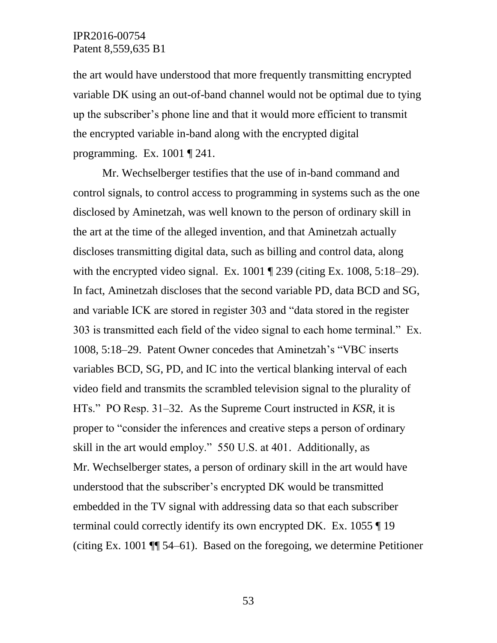the art would have understood that more frequently transmitting encrypted variable DK using an out-of-band channel would not be optimal due to tying up the subscriber's phone line and that it would more efficient to transmit the encrypted variable in-band along with the encrypted digital programming. Ex. 1001 ¶ 241.

Mr. Wechselberger testifies that the use of in-band command and control signals, to control access to programming in systems such as the one disclosed by Aminetzah, was well known to the person of ordinary skill in the art at the time of the alleged invention, and that Aminetzah actually discloses transmitting digital data, such as billing and control data, along with the encrypted video signal. Ex.  $1001 \text{ T}$  239 (citing Ex.  $1008, 5:18-29$ ). In fact, Aminetzah discloses that the second variable PD, data BCD and SG, and variable ICK are stored in register 303 and "data stored in the register 303 is transmitted each field of the video signal to each home terminal." Ex. 1008, 5:18–29. Patent Owner concedes that Aminetzah's "VBC inserts variables BCD, SG, PD, and IC into the vertical blanking interval of each video field and transmits the scrambled television signal to the plurality of HTs." PO Resp. 31–32. As the Supreme Court instructed in *KSR*, it is proper to "consider the inferences and creative steps a person of ordinary skill in the art would employ." 550 U.S. at 401. Additionally, as Mr. Wechselberger states, a person of ordinary skill in the art would have understood that the subscriber's encrypted DK would be transmitted embedded in the TV signal with addressing data so that each subscriber terminal could correctly identify its own encrypted DK. Ex. 1055 ¶ 19 (citing Ex. 1001 ¶¶ 54–61). Based on the foregoing, we determine Petitioner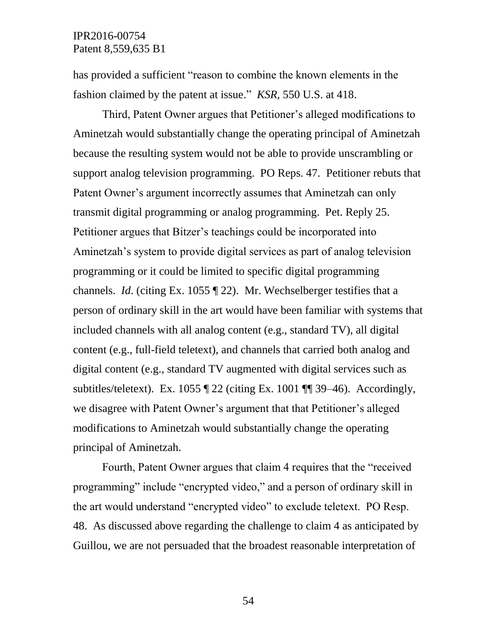has provided a sufficient "reason to combine the known elements in the fashion claimed by the patent at issue." *KSR*, 550 U.S. at 418.

Third, Patent Owner argues that Petitioner's alleged modifications to Aminetzah would substantially change the operating principal of Aminetzah because the resulting system would not be able to provide unscrambling or support analog television programming. PO Reps. 47. Petitioner rebuts that Patent Owner's argument incorrectly assumes that Aminetzah can only transmit digital programming or analog programming. Pet. Reply 25. Petitioner argues that Bitzer's teachings could be incorporated into Aminetzah's system to provide digital services as part of analog television programming or it could be limited to specific digital programming channels. *Id*. (citing Ex. 1055 ¶ 22). Mr. Wechselberger testifies that a person of ordinary skill in the art would have been familiar with systems that included channels with all analog content (e.g., standard TV), all digital content (e.g., full-field teletext), and channels that carried both analog and digital content (e.g., standard TV augmented with digital services such as subtitles/teletext). Ex. 1055  $\parallel$  22 (citing Ex. 1001  $\parallel$  39–46). Accordingly, we disagree with Patent Owner's argument that that Petitioner's alleged modifications to Aminetzah would substantially change the operating principal of Aminetzah.

Fourth, Patent Owner argues that claim 4 requires that the "received programming" include "encrypted video," and a person of ordinary skill in the art would understand "encrypted video" to exclude teletext. PO Resp. 48. As discussed above regarding the challenge to claim 4 as anticipated by Guillou, we are not persuaded that the broadest reasonable interpretation of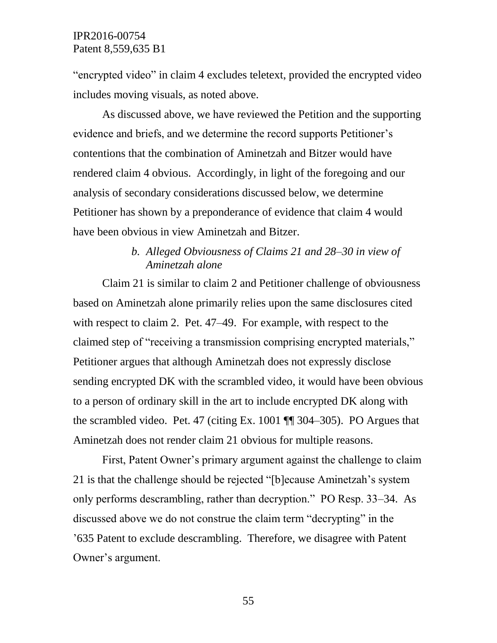"encrypted video" in claim 4 excludes teletext, provided the encrypted video includes moving visuals, as noted above.

As discussed above, we have reviewed the Petition and the supporting evidence and briefs, and we determine the record supports Petitioner's contentions that the combination of Aminetzah and Bitzer would have rendered claim 4 obvious. Accordingly, in light of the foregoing and our analysis of secondary considerations discussed below, we determine Petitioner has shown by a preponderance of evidence that claim 4 would have been obvious in view Aminetzah and Bitzer.

## *b. Alleged Obviousness of Claims 21 and 28–30 in view of Aminetzah alone*

Claim 21 is similar to claim 2 and Petitioner challenge of obviousness based on Aminetzah alone primarily relies upon the same disclosures cited with respect to claim 2. Pet. 47–49. For example, with respect to the claimed step of "receiving a transmission comprising encrypted materials," Petitioner argues that although Aminetzah does not expressly disclose sending encrypted DK with the scrambled video, it would have been obvious to a person of ordinary skill in the art to include encrypted DK along with the scrambled video. Pet. 47 (citing Ex. 1001 ¶¶ 304–305). PO Argues that Aminetzah does not render claim 21 obvious for multiple reasons.

First, Patent Owner's primary argument against the challenge to claim 21 is that the challenge should be rejected "[b]ecause Aminetzah's system only performs descrambling, rather than decryption." PO Resp. 33–34. As discussed above we do not construe the claim term "decrypting" in the '635 Patent to exclude descrambling. Therefore, we disagree with Patent Owner's argument.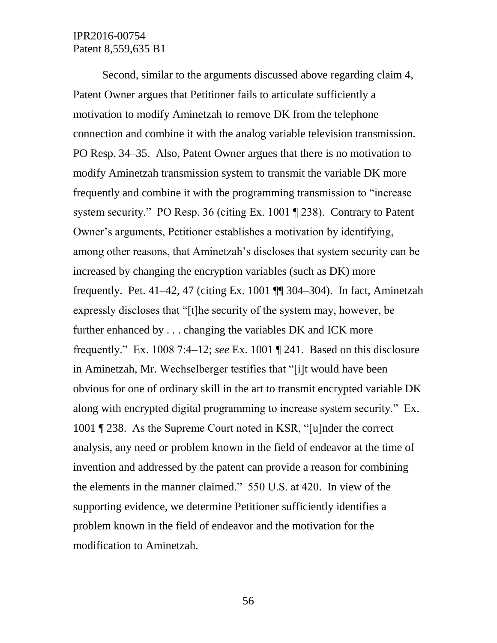Second, similar to the arguments discussed above regarding claim 4, Patent Owner argues that Petitioner fails to articulate sufficiently a motivation to modify Aminetzah to remove DK from the telephone connection and combine it with the analog variable television transmission. PO Resp. 34–35. Also, Patent Owner argues that there is no motivation to modify Aminetzah transmission system to transmit the variable DK more frequently and combine it with the programming transmission to "increase system security." PO Resp. 36 (citing Ex. 1001 ¶ 238). Contrary to Patent Owner's arguments, Petitioner establishes a motivation by identifying, among other reasons, that Aminetzah's discloses that system security can be increased by changing the encryption variables (such as DK) more frequently. Pet. 41–42, 47 (citing Ex. 1001 ¶¶ 304–304). In fact, Aminetzah expressly discloses that "[t]he security of the system may, however, be further enhanced by . . . changing the variables DK and ICK more frequently." Ex. 1008 7:4–12; *see* Ex. 1001 ¶ 241. Based on this disclosure in Aminetzah, Mr. Wechselberger testifies that "[i]t would have been obvious for one of ordinary skill in the art to transmit encrypted variable DK along with encrypted digital programming to increase system security." Ex. 1001 ¶ 238. As the Supreme Court noted in KSR, "[u]nder the correct analysis, any need or problem known in the field of endeavor at the time of invention and addressed by the patent can provide a reason for combining the elements in the manner claimed." 550 U.S. at 420. In view of the supporting evidence, we determine Petitioner sufficiently identifies a problem known in the field of endeavor and the motivation for the modification to Aminetzah.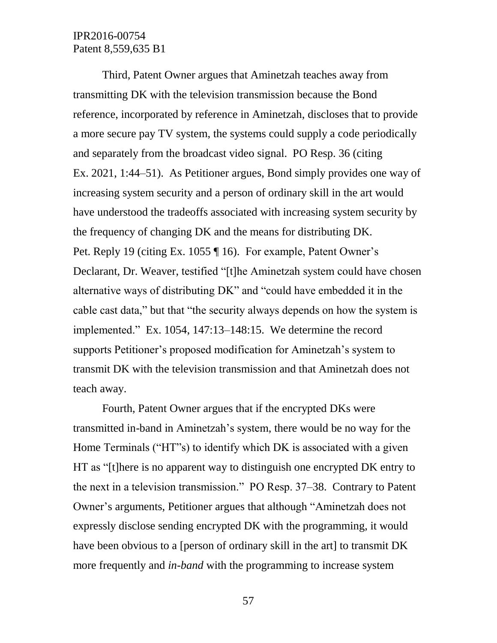Third, Patent Owner argues that Aminetzah teaches away from transmitting DK with the television transmission because the Bond reference, incorporated by reference in Aminetzah, discloses that to provide a more secure pay TV system, the systems could supply a code periodically and separately from the broadcast video signal. PO Resp. 36 (citing Ex. 2021, 1:44–51). As Petitioner argues, Bond simply provides one way of increasing system security and a person of ordinary skill in the art would have understood the tradeoffs associated with increasing system security by the frequency of changing DK and the means for distributing DK. Pet. Reply 19 (citing Ex. 1055 ¶ 16). For example, Patent Owner's Declarant, Dr. Weaver, testified "[t]he Aminetzah system could have chosen alternative ways of distributing DK" and "could have embedded it in the cable cast data," but that "the security always depends on how the system is implemented." Ex. 1054, 147:13–148:15. We determine the record supports Petitioner's proposed modification for Aminetzah's system to transmit DK with the television transmission and that Aminetzah does not teach away.

Fourth, Patent Owner argues that if the encrypted DKs were transmitted in-band in Aminetzah's system, there would be no way for the Home Terminals ("HT"s) to identify which DK is associated with a given HT as "[t]here is no apparent way to distinguish one encrypted DK entry to the next in a television transmission." PO Resp. 37–38. Contrary to Patent Owner's arguments, Petitioner argues that although "Aminetzah does not expressly disclose sending encrypted DK with the programming, it would have been obvious to a [person of ordinary skill in the art] to transmit DK more frequently and *in-band* with the programming to increase system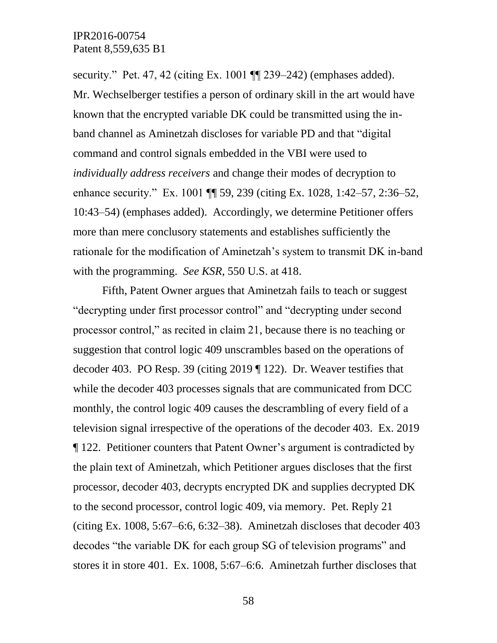security." Pet. 47, 42 (citing Ex. 1001  $\P$ ] 239–242) (emphases added). Mr. Wechselberger testifies a person of ordinary skill in the art would have known that the encrypted variable DK could be transmitted using the inband channel as Aminetzah discloses for variable PD and that "digital command and control signals embedded in the VBI were used to *individually address receivers* and change their modes of decryption to enhance security." Ex. 1001 **[1]** 59, 239 (citing Ex. 1028, 1:42–57, 2:36–52, 10:43–54) (emphases added). Accordingly, we determine Petitioner offers more than mere conclusory statements and establishes sufficiently the rationale for the modification of Aminetzah's system to transmit DK in-band with the programming. *See KSR*, 550 U.S. at 418.

Fifth, Patent Owner argues that Aminetzah fails to teach or suggest "decrypting under first processor control" and "decrypting under second processor control," as recited in claim 21, because there is no teaching or suggestion that control logic 409 unscrambles based on the operations of decoder 403. PO Resp. 39 (citing 2019 ¶ 122). Dr. Weaver testifies that while the decoder 403 processes signals that are communicated from DCC monthly, the control logic 409 causes the descrambling of every field of a television signal irrespective of the operations of the decoder 403. Ex. 2019 ¶ 122. Petitioner counters that Patent Owner's argument is contradicted by the plain text of Aminetzah, which Petitioner argues discloses that the first processor, decoder 403, decrypts encrypted DK and supplies decrypted DK to the second processor, control logic 409, via memory. Pet. Reply 21 (citing Ex. 1008, 5:67–6:6, 6:32–38). Aminetzah discloses that decoder 403 decodes "the variable DK for each group SG of television programs" and stores it in store 401. Ex. 1008, 5:67–6:6. Aminetzah further discloses that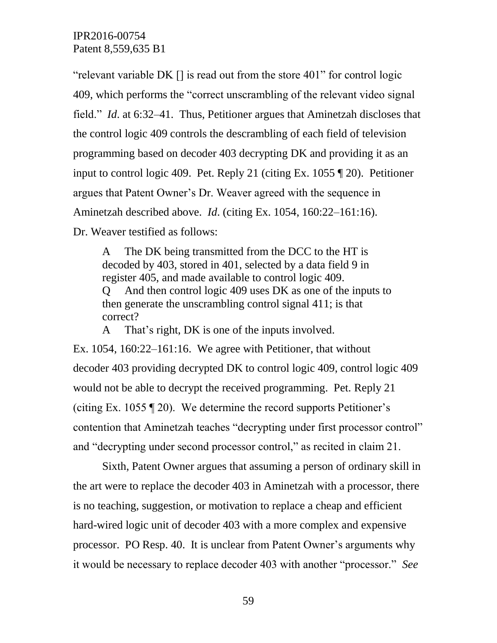"relevant variable DK [] is read out from the store 401" for control logic 409, which performs the "correct unscrambling of the relevant video signal field." *Id*. at 6:32–41. Thus, Petitioner argues that Aminetzah discloses that the control logic 409 controls the descrambling of each field of television programming based on decoder 403 decrypting DK and providing it as an input to control logic 409. Pet. Reply 21 (citing Ex. 1055 ¶ 20). Petitioner argues that Patent Owner's Dr. Weaver agreed with the sequence in Aminetzah described above. *Id*. (citing Ex. 1054, 160:22–161:16). Dr. Weaver testified as follows:

A The DK being transmitted from the DCC to the HT is decoded by 403, stored in 401, selected by a data field 9 in register 405, and made available to control logic 409. Q And then control logic 409 uses DK as one of the inputs to then generate the unscrambling control signal 411; is that correct?

A That's right, DK is one of the inputs involved.

Ex. 1054, 160:22–161:16. We agree with Petitioner, that without decoder 403 providing decrypted DK to control logic 409, control logic 409 would not be able to decrypt the received programming. Pet. Reply 21 (citing Ex. 1055 ¶ 20). We determine the record supports Petitioner's contention that Aminetzah teaches "decrypting under first processor control" and "decrypting under second processor control," as recited in claim 21.

Sixth, Patent Owner argues that assuming a person of ordinary skill in the art were to replace the decoder 403 in Aminetzah with a processor, there is no teaching, suggestion, or motivation to replace a cheap and efficient hard-wired logic unit of decoder 403 with a more complex and expensive processor. PO Resp. 40. It is unclear from Patent Owner's arguments why it would be necessary to replace decoder 403 with another "processor." *See*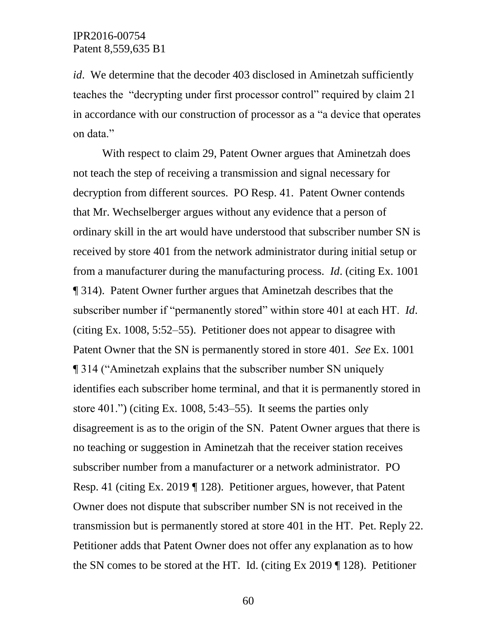*id*. We determine that the decoder 403 disclosed in Aminetzah sufficiently teaches the "decrypting under first processor control" required by claim 21 in accordance with our construction of processor as a "a device that operates on data."

With respect to claim 29, Patent Owner argues that Aminetzah does not teach the step of receiving a transmission and signal necessary for decryption from different sources. PO Resp. 41. Patent Owner contends that Mr. Wechselberger argues without any evidence that a person of ordinary skill in the art would have understood that subscriber number SN is received by store 401 from the network administrator during initial setup or from a manufacturer during the manufacturing process. *Id*. (citing Ex. 1001 ¶ 314). Patent Owner further argues that Aminetzah describes that the subscriber number if "permanently stored" within store 401 at each HT. *Id*. (citing Ex. 1008, 5:52–55). Petitioner does not appear to disagree with Patent Owner that the SN is permanently stored in store 401. *See* Ex. 1001 ¶ 314 ("Aminetzah explains that the subscriber number SN uniquely identifies each subscriber home terminal, and that it is permanently stored in store 401.") (citing Ex. 1008, 5:43–55). It seems the parties only disagreement is as to the origin of the SN. Patent Owner argues that there is no teaching or suggestion in Aminetzah that the receiver station receives subscriber number from a manufacturer or a network administrator. PO Resp. 41 (citing Ex. 2019 ¶ 128). Petitioner argues, however, that Patent Owner does not dispute that subscriber number SN is not received in the transmission but is permanently stored at store 401 in the HT. Pet. Reply 22. Petitioner adds that Patent Owner does not offer any explanation as to how the SN comes to be stored at the HT. Id. (citing Ex 2019 ¶ 128). Petitioner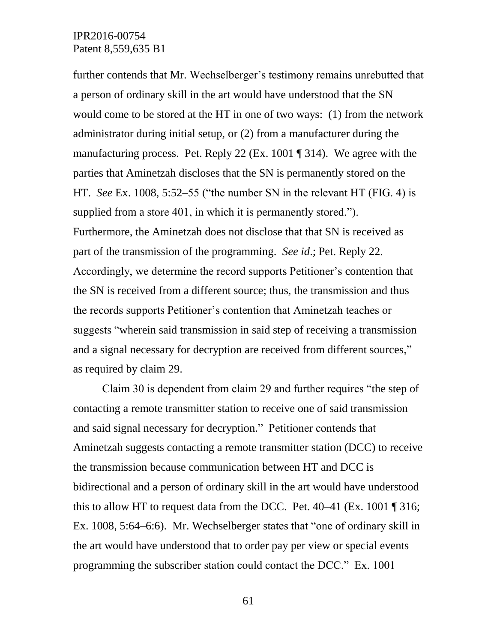further contends that Mr. Wechselberger's testimony remains unrebutted that a person of ordinary skill in the art would have understood that the SN would come to be stored at the HT in one of two ways: (1) from the network administrator during initial setup, or (2) from a manufacturer during the manufacturing process. Pet. Reply 22 (Ex. 1001 ¶ 314). We agree with the parties that Aminetzah discloses that the SN is permanently stored on the HT. *See* Ex. 1008, 5:52–55 ("the number SN in the relevant HT (FIG. 4) is supplied from a store 401, in which it is permanently stored."). Furthermore, the Aminetzah does not disclose that that SN is received as part of the transmission of the programming. *See id*.; Pet. Reply 22. Accordingly, we determine the record supports Petitioner's contention that the SN is received from a different source; thus, the transmission and thus the records supports Petitioner's contention that Aminetzah teaches or suggests "wherein said transmission in said step of receiving a transmission and a signal necessary for decryption are received from different sources," as required by claim 29.

Claim 30 is dependent from claim 29 and further requires "the step of contacting a remote transmitter station to receive one of said transmission and said signal necessary for decryption." Petitioner contends that Aminetzah suggests contacting a remote transmitter station (DCC) to receive the transmission because communication between HT and DCC is bidirectional and a person of ordinary skill in the art would have understood this to allow HT to request data from the DCC. Pet.  $40-41$  (Ex. 1001 ¶ 316; Ex. 1008, 5:64–6:6). Mr. Wechselberger states that "one of ordinary skill in the art would have understood that to order pay per view or special events programming the subscriber station could contact the DCC." Ex. 1001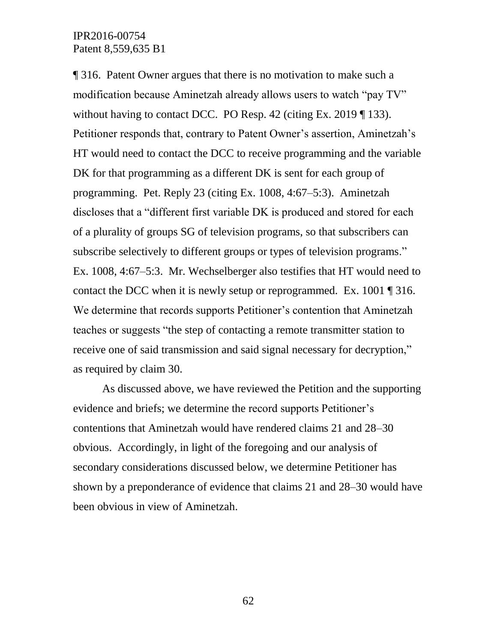¶ 316. Patent Owner argues that there is no motivation to make such a modification because Aminetzah already allows users to watch "pay TV" without having to contact DCC. PO Resp. 42 (citing Ex. 2019 ¶ 133). Petitioner responds that, contrary to Patent Owner's assertion, Aminetzah's HT would need to contact the DCC to receive programming and the variable DK for that programming as a different DK is sent for each group of programming. Pet. Reply 23 (citing Ex. 1008, 4:67–5:3). Aminetzah discloses that a "different first variable DK is produced and stored for each of a plurality of groups SG of television programs, so that subscribers can subscribe selectively to different groups or types of television programs." Ex. 1008, 4:67–5:3. Mr. Wechselberger also testifies that HT would need to contact the DCC when it is newly setup or reprogrammed. Ex. 1001 ¶ 316. We determine that records supports Petitioner's contention that Aminetzah teaches or suggests "the step of contacting a remote transmitter station to receive one of said transmission and said signal necessary for decryption," as required by claim 30.

As discussed above, we have reviewed the Petition and the supporting evidence and briefs; we determine the record supports Petitioner's contentions that Aminetzah would have rendered claims 21 and 28–30 obvious. Accordingly, in light of the foregoing and our analysis of secondary considerations discussed below, we determine Petitioner has shown by a preponderance of evidence that claims 21 and 28–30 would have been obvious in view of Aminetzah.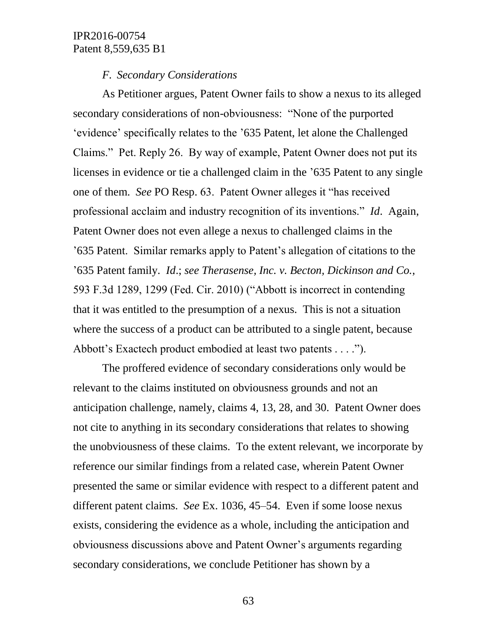#### *F. Secondary Considerations*

As Petitioner argues, Patent Owner fails to show a nexus to its alleged secondary considerations of non-obviousness: "None of the purported 'evidence' specifically relates to the '635 Patent, let alone the Challenged Claims." Pet. Reply 26. By way of example, Patent Owner does not put its licenses in evidence or tie a challenged claim in the '635 Patent to any single one of them. *See* PO Resp. 63. Patent Owner alleges it "has received professional acclaim and industry recognition of its inventions." *Id*. Again, Patent Owner does not even allege a nexus to challenged claims in the '635 Patent. Similar remarks apply to Patent's allegation of citations to the '635 Patent family. *Id*.; *see Therasense, Inc. v. Becton, Dickinson and Co.*, 593 F.3d 1289, 1299 (Fed. Cir. 2010) ("Abbott is incorrect in contending that it was entitled to the presumption of a nexus. This is not a situation where the success of a product can be attributed to a single patent, because Abbott's Exactech product embodied at least two patents . . . .").

The proffered evidence of secondary considerations only would be relevant to the claims instituted on obviousness grounds and not an anticipation challenge, namely, claims 4, 13, 28, and 30. Patent Owner does not cite to anything in its secondary considerations that relates to showing the unobviousness of these claims. To the extent relevant, we incorporate by reference our similar findings from a related case, wherein Patent Owner presented the same or similar evidence with respect to a different patent and different patent claims. *See* Ex. 1036, 45–54. Even if some loose nexus exists, considering the evidence as a whole, including the anticipation and obviousness discussions above and Patent Owner's arguments regarding secondary considerations, we conclude Petitioner has shown by a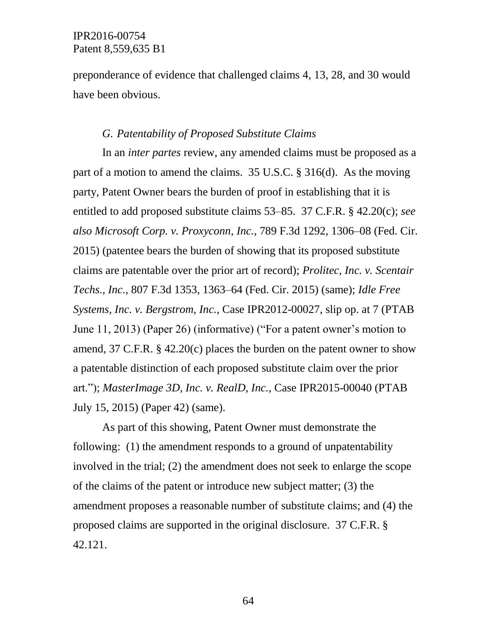preponderance of evidence that challenged claims 4, 13, 28, and 30 would have been obvious.

#### *G. Patentability of Proposed Substitute Claims*

In an *inter partes* review, any amended claims must be proposed as a part of a motion to amend the claims. 35 U.S.C. § 316(d). As the moving party, Patent Owner bears the burden of proof in establishing that it is entitled to add proposed substitute claims 53–85. 37 C.F.R. § 42.20(c); *see also Microsoft Corp. v. Proxyconn, Inc.*, 789 F.3d 1292, 1306–08 (Fed. Cir. 2015) (patentee bears the burden of showing that its proposed substitute claims are patentable over the prior art of record); *Prolitec, Inc. v. Scentair Techs., Inc.*, 807 F.3d 1353, 1363–64 (Fed. Cir. 2015) (same); *Idle Free Systems, Inc. v. Bergstrom, Inc.*, Case IPR2012-00027, slip op. at 7 (PTAB June 11, 2013) (Paper 26) (informative) ("For a patent owner's motion to amend, 37 C.F.R. § 42.20(c) places the burden on the patent owner to show a patentable distinction of each proposed substitute claim over the prior art."); *MasterImage 3D, Inc. v. RealD, Inc.*, Case IPR2015-00040 (PTAB July 15, 2015) (Paper 42) (same).

As part of this showing, Patent Owner must demonstrate the following: (1) the amendment responds to a ground of unpatentability involved in the trial; (2) the amendment does not seek to enlarge the scope of the claims of the patent or introduce new subject matter; (3) the amendment proposes a reasonable number of substitute claims; and (4) the proposed claims are supported in the original disclosure. 37 C.F.R. § 42.121.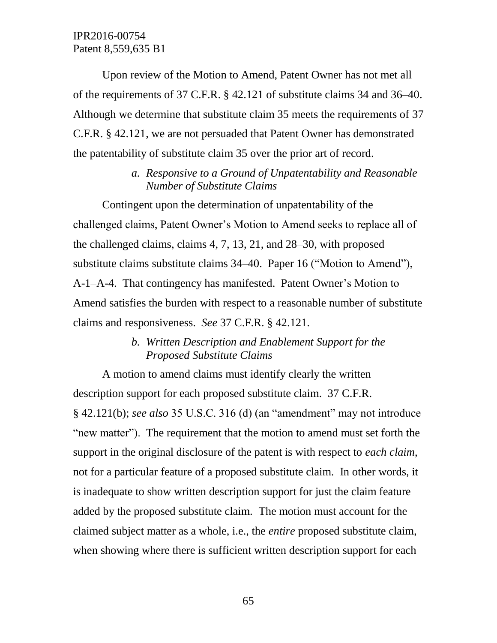Upon review of the Motion to Amend, Patent Owner has not met all of the requirements of 37 C.F.R. § 42.121 of substitute claims 34 and 36–40. Although we determine that substitute claim 35 meets the requirements of 37 C.F.R. § 42.121, we are not persuaded that Patent Owner has demonstrated the patentability of substitute claim 35 over the prior art of record.

## *a. Responsive to a Ground of Unpatentability and Reasonable Number of Substitute Claims*

Contingent upon the determination of unpatentability of the challenged claims, Patent Owner's Motion to Amend seeks to replace all of the challenged claims, claims 4, 7, 13, 21, and 28–30, with proposed substitute claims substitute claims 34–40. Paper 16 ("Motion to Amend"), A-1–A-4. That contingency has manifested. Patent Owner's Motion to Amend satisfies the burden with respect to a reasonable number of substitute claims and responsiveness. *See* 37 C.F.R. § 42.121.

## *b. Written Description and Enablement Support for the Proposed Substitute Claims*

A motion to amend claims must identify clearly the written description support for each proposed substitute claim. 37 C.F.R. § 42.121(b); *see also* 35 U.S.C. 316 (d) (an "amendment" may not introduce "new matter"). The requirement that the motion to amend must set forth the support in the original disclosure of the patent is with respect to *each claim*, not for a particular feature of a proposed substitute claim. In other words, it is inadequate to show written description support for just the claim feature added by the proposed substitute claim. The motion must account for the claimed subject matter as a whole, i.e., the *entire* proposed substitute claim, when showing where there is sufficient written description support for each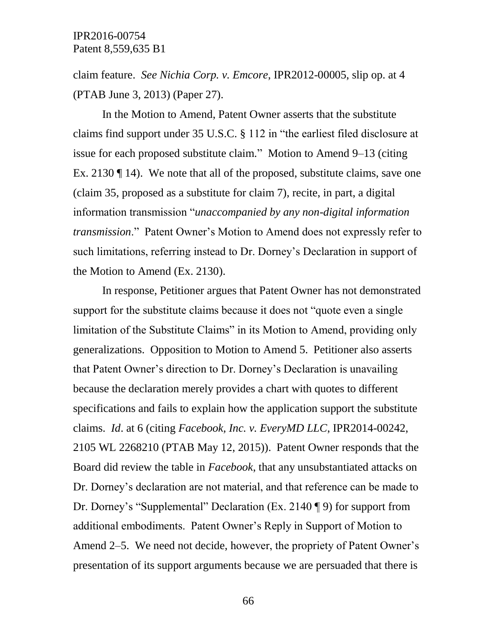claim feature. *See Nichia Corp. v. Emcore*, IPR2012-00005, slip op. at 4 (PTAB June 3, 2013) (Paper 27).

In the Motion to Amend, Patent Owner asserts that the substitute claims find support under 35 U.S.C. § 112 in "the earliest filed disclosure at issue for each proposed substitute claim." Motion to Amend 9–13 (citing Ex. 2130 ¶ 14). We note that all of the proposed, substitute claims, save one (claim 35, proposed as a substitute for claim 7), recite, in part, a digital information transmission "*unaccompanied by any non-digital information transmission*." Patent Owner's Motion to Amend does not expressly refer to such limitations, referring instead to Dr. Dorney's Declaration in support of the Motion to Amend (Ex. 2130).

In response, Petitioner argues that Patent Owner has not demonstrated support for the substitute claims because it does not "quote even a single limitation of the Substitute Claims" in its Motion to Amend, providing only generalizations. Opposition to Motion to Amend 5. Petitioner also asserts that Patent Owner's direction to Dr. Dorney's Declaration is unavailing because the declaration merely provides a chart with quotes to different specifications and fails to explain how the application support the substitute claims. *Id*. at 6 (citing *Facebook, Inc. v. EveryMD LLC*, IPR2014-00242, 2105 WL 2268210 (PTAB May 12, 2015)). Patent Owner responds that the Board did review the table in *Facebook*, that any unsubstantiated attacks on Dr. Dorney's declaration are not material, and that reference can be made to Dr. Dorney's "Supplemental" Declaration (Ex. 2140 ¶ 9) for support from additional embodiments. Patent Owner's Reply in Support of Motion to Amend 2–5. We need not decide, however, the propriety of Patent Owner's presentation of its support arguments because we are persuaded that there is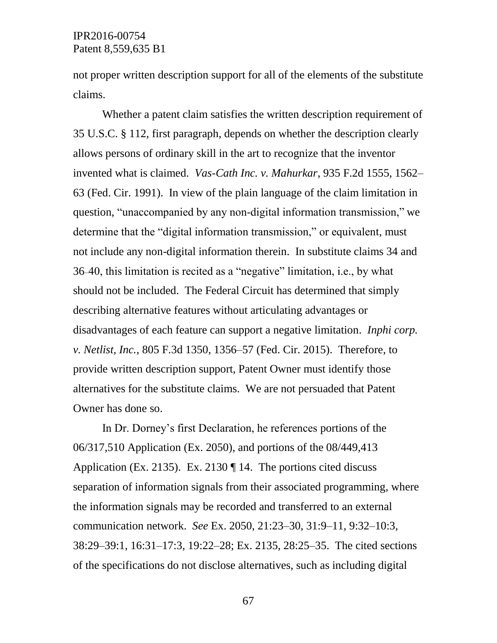not proper written description support for all of the elements of the substitute claims.

Whether a patent claim satisfies the written description requirement of 35 U.S.C. § 112, first paragraph, depends on whether the description clearly allows persons of ordinary skill in the art to recognize that the inventor invented what is claimed. *Vas-Cath Inc. v. Mahurkar*, 935 F.2d 1555, 1562– 63 (Fed. Cir. 1991). In view of the plain language of the claim limitation in question, "unaccompanied by any non-digital information transmission," we determine that the "digital information transmission," or equivalent, must not include any non-digital information therein. In substitute claims 34 and 36–40, this limitation is recited as a "negative" limitation, i.e., by what should not be included. The Federal Circuit has determined that simply describing alternative features without articulating advantages or disadvantages of each feature can support a negative limitation. *Inphi corp. v. Netlist, Inc.*, 805 F.3d 1350, 1356–57 (Fed. Cir. 2015). Therefore, to provide written description support, Patent Owner must identify those alternatives for the substitute claims. We are not persuaded that Patent Owner has done so.

In Dr. Dorney's first Declaration, he references portions of the 06/317,510 Application (Ex. 2050), and portions of the 08/449,413 Application (Ex. 2135). Ex. 2130 ¶ 14. The portions cited discuss separation of information signals from their associated programming, where the information signals may be recorded and transferred to an external communication network. *See* Ex. 2050, 21:23–30, 31:9–11, 9:32–10:3, 38:29–39:1, 16:31–17:3, 19:22–28; Ex. 2135, 28:25–35. The cited sections of the specifications do not disclose alternatives, such as including digital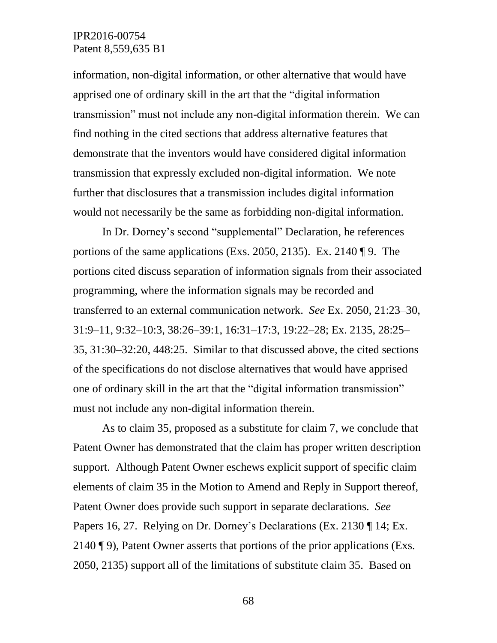information, non-digital information, or other alternative that would have apprised one of ordinary skill in the art that the "digital information transmission" must not include any non-digital information therein. We can find nothing in the cited sections that address alternative features that demonstrate that the inventors would have considered digital information transmission that expressly excluded non-digital information. We note further that disclosures that a transmission includes digital information would not necessarily be the same as forbidding non-digital information.

In Dr. Dorney's second "supplemental" Declaration, he references portions of the same applications (Exs. 2050, 2135). Ex. 2140 ¶ 9. The portions cited discuss separation of information signals from their associated programming, where the information signals may be recorded and transferred to an external communication network. *See* Ex. 2050, 21:23–30, 31:9–11, 9:32–10:3, 38:26–39:1, 16:31–17:3, 19:22–28; Ex. 2135, 28:25– 35, 31:30–32:20, 448:25. Similar to that discussed above, the cited sections of the specifications do not disclose alternatives that would have apprised one of ordinary skill in the art that the "digital information transmission" must not include any non-digital information therein.

As to claim 35, proposed as a substitute for claim 7, we conclude that Patent Owner has demonstrated that the claim has proper written description support. Although Patent Owner eschews explicit support of specific claim elements of claim 35 in the Motion to Amend and Reply in Support thereof, Patent Owner does provide such support in separate declarations. *See* Papers 16, 27. Relying on Dr. Dorney's Declarations (Ex. 2130 ¶ 14; Ex. 2140 ¶ 9), Patent Owner asserts that portions of the prior applications (Exs. 2050, 2135) support all of the limitations of substitute claim 35. Based on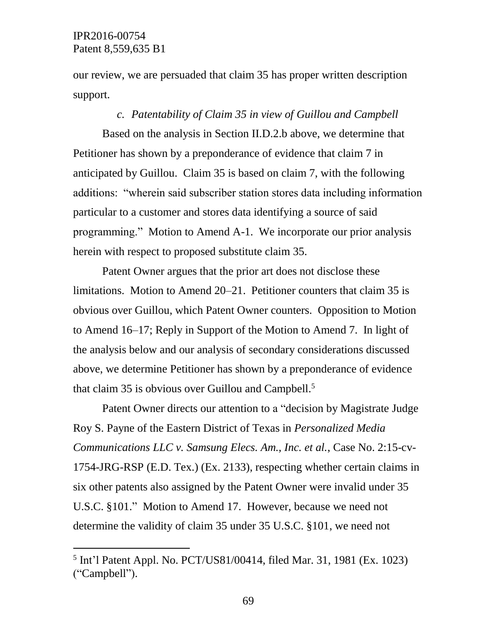$\overline{a}$ 

our review, we are persuaded that claim 35 has proper written description support.

#### *c. Patentability of Claim 35 in view of Guillou and Campbell*

Based on the analysis in Section II.D.2.b above, we determine that Petitioner has shown by a preponderance of evidence that claim 7 in anticipated by Guillou. Claim 35 is based on claim 7, with the following additions: "wherein said subscriber station stores data including information particular to a customer and stores data identifying a source of said programming." Motion to Amend A-1. We incorporate our prior analysis herein with respect to proposed substitute claim 35.

Patent Owner argues that the prior art does not disclose these limitations. Motion to Amend 20–21. Petitioner counters that claim 35 is obvious over Guillou, which Patent Owner counters. Opposition to Motion to Amend 16–17; Reply in Support of the Motion to Amend 7. In light of the analysis below and our analysis of secondary considerations discussed above, we determine Petitioner has shown by a preponderance of evidence that claim 35 is obvious over Guillou and Campbell. 5

Patent Owner directs our attention to a "decision by Magistrate Judge Roy S. Payne of the Eastern District of Texas in *Personalized Media Communications LLC v. Samsung Elecs. Am., Inc. et al.*, Case No. 2:15-cv-1754-JRG-RSP (E.D. Tex.) (Ex. 2133), respecting whether certain claims in six other patents also assigned by the Patent Owner were invalid under 35 U.S.C. §101." Motion to Amend 17. However, because we need not determine the validity of claim 35 under 35 U.S.C. §101, we need not

<sup>5</sup> Int'l Patent Appl. No. PCT/US81/00414, filed Mar. 31, 1981 (Ex. 1023) ("Campbell").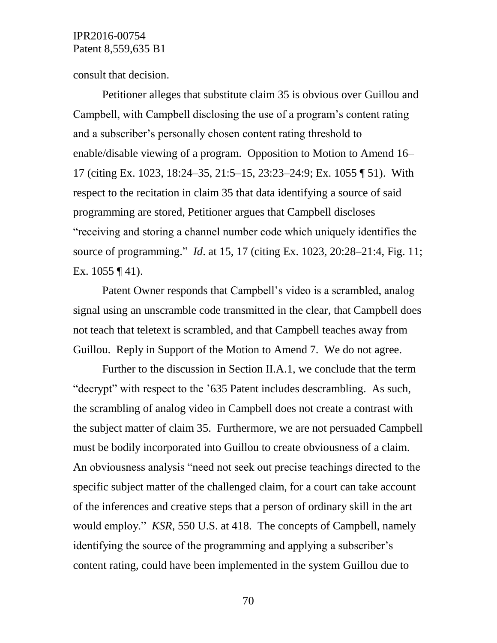consult that decision.

Petitioner alleges that substitute claim 35 is obvious over Guillou and Campbell, with Campbell disclosing the use of a program's content rating and a subscriber's personally chosen content rating threshold to enable/disable viewing of a program. Opposition to Motion to Amend 16– 17 (citing Ex. 1023, 18:24–35, 21:5–15, 23:23–24:9; Ex. 1055 ¶ 51). With respect to the recitation in claim 35 that data identifying a source of said programming are stored, Petitioner argues that Campbell discloses "receiving and storing a channel number code which uniquely identifies the source of programming." *Id*. at 15, 17 (citing Ex. 1023, 20:28–21:4, Fig. 11; Ex.  $1055 \text{ } \text{T}$  41).

Patent Owner responds that Campbell's video is a scrambled, analog signal using an unscramble code transmitted in the clear, that Campbell does not teach that teletext is scrambled, and that Campbell teaches away from Guillou. Reply in Support of the Motion to Amend 7. We do not agree.

Further to the discussion in Section II.A.1, we conclude that the term "decrypt" with respect to the '635 Patent includes descrambling. As such, the scrambling of analog video in Campbell does not create a contrast with the subject matter of claim 35. Furthermore, we are not persuaded Campbell must be bodily incorporated into Guillou to create obviousness of a claim. An obviousness analysis "need not seek out precise teachings directed to the specific subject matter of the challenged claim, for a court can take account of the inferences and creative steps that a person of ordinary skill in the art would employ." *KSR*, 550 U.S. at 418. The concepts of Campbell, namely identifying the source of the programming and applying a subscriber's content rating, could have been implemented in the system Guillou due to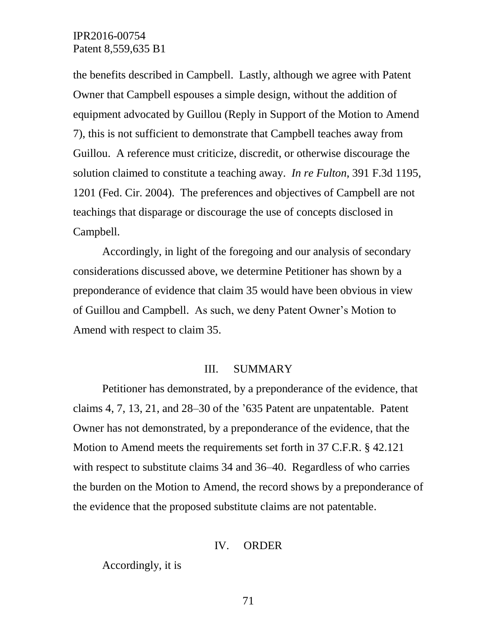the benefits described in Campbell. Lastly, although we agree with Patent Owner that Campbell espouses a simple design, without the addition of equipment advocated by Guillou (Reply in Support of the Motion to Amend 7), this is not sufficient to demonstrate that Campbell teaches away from Guillou. A reference must criticize, discredit, or otherwise discourage the solution claimed to constitute a teaching away. *In re Fulton*, 391 F.3d 1195, 1201 (Fed. Cir. 2004). The preferences and objectives of Campbell are not teachings that disparage or discourage the use of concepts disclosed in Campbell.

Accordingly, in light of the foregoing and our analysis of secondary considerations discussed above, we determine Petitioner has shown by a preponderance of evidence that claim 35 would have been obvious in view of Guillou and Campbell. As such, we deny Patent Owner's Motion to Amend with respect to claim 35.

#### III. SUMMARY

Petitioner has demonstrated, by a preponderance of the evidence, that claims 4, 7, 13, 21, and 28–30 of the '635 Patent are unpatentable. Patent Owner has not demonstrated, by a preponderance of the evidence, that the Motion to Amend meets the requirements set forth in 37 C.F.R. § 42.121 with respect to substitute claims 34 and 36–40. Regardless of who carries the burden on the Motion to Amend, the record shows by a preponderance of the evidence that the proposed substitute claims are not patentable.

#### IV. ORDER

Accordingly, it is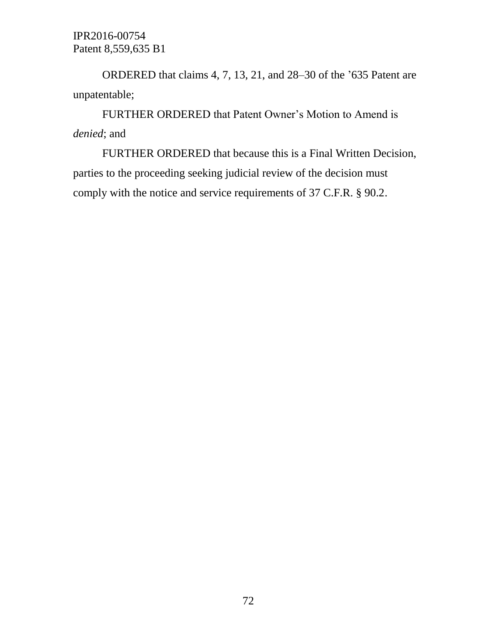ORDERED that claims 4, 7, 13, 21, and 28–30 of the '635 Patent are unpatentable;

FURTHER ORDERED that Patent Owner's Motion to Amend is *denied*; and

FURTHER ORDERED that because this is a Final Written Decision, parties to the proceeding seeking judicial review of the decision must comply with the notice and service requirements of 37 C.F.R. § 90.2.